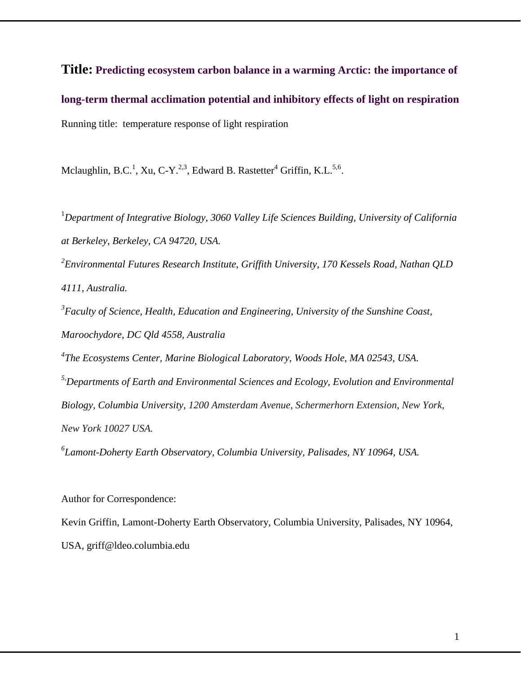**Title: Predicting ecosystem carbon balance in a warming Arctic: the importance of long-term thermal acclimation potential and inhibitory effects of light on respiration** Running title: temperature response of light respiration

Mclaughlin, B.C.<sup>1</sup>, Xu, C-Y.<sup>2,3</sup>, Edward B. Rastetter<sup>4</sup> Griffin, K.L.<sup>5,6</sup>.

<sup>1</sup>Department of Integrative Biology, 3060 Valley Life Sciences Building, University of California *at Berkeley, Berkeley, CA 94720, USA.*

*2 Environmental Futures Research Institute, Griffith University, 170 Kessels Road, Nathan QLD 4111, Australia.*

*3 Faculty of Science, Health, Education and Engineering, University of the Sunshine Coast, Maroochydore, DC Qld 4558, Australia*

*4 The Ecosystems Center, Marine Biological Laboratory, Woods Hole, MA 02543, USA.*

*5,Departments of Earth and Environmental Sciences and Ecology, Evolution and Environmental Biology, Columbia University, 1200 Amsterdam Avenue, Schermerhorn Extension, New York, New York 10027 USA.*

*6 Lamont-Doherty Earth Observatory, Columbia University, Palisades, NY 10964, USA.*

Author for Correspondence:

Kevin Griffin, Lamont-Doherty Earth Observatory, Columbia University, Palisades, NY 10964, USA, griff@ldeo.columbia.edu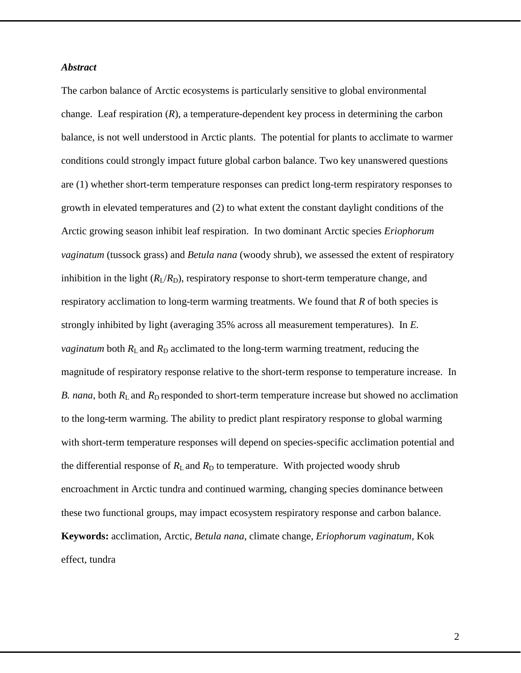### *Abstract*

The carbon balance of Arctic ecosystems is particularly sensitive to global environmental change. Leaf respiration  $(R)$ , a temperature-dependent key process in determining the carbon balance, is not well understood in Arctic plants. The potential for plants to acclimate to warmer conditions could strongly impact future global carbon balance. Two key unanswered questions are (1) whether short-term temperature responses can predict long-term respiratory responses to growth in elevated temperatures and (2) to what extent the constant daylight conditions of the Arctic growing season inhibit leaf respiration. In two dominant Arctic species *Eriophorum vaginatum* (tussock grass) and *Betula nana* (woody shrub), we assessed the extent of respiratory inhibition in the light  $(R_I/R_D)$ , respiratory response to short-term temperature change, and respiratory acclimation to long-term warming treatments. We found that *R* of both species is strongly inhibited by light (averaging 35% across all measurement temperatures). In *E. vaginatum* both  $R_L$  and  $R_D$  acclimated to the long-term warming treatment, reducing the magnitude of respiratory response relative to the short-term response to temperature increase. In *B. nana*, both  $R_L$  and  $R_D$  responded to short-term temperature increase but showed no acclimation to the long-term warming. The ability to predict plant respiratory response to global warming with short-term temperature responses will depend on species-specific acclimation potential and the differential response of  $R_L$  and  $R_D$  to temperature. With projected woody shrub encroachment in Arctic tundra and continued warming, changing species dominance between these two functional groups, may impact ecosystem respiratory response and carbon balance. **Keywords:** acclimation, Arctic, *Betula nana*, climate change, *Eriophorum vaginatum*, Kok effect, tundra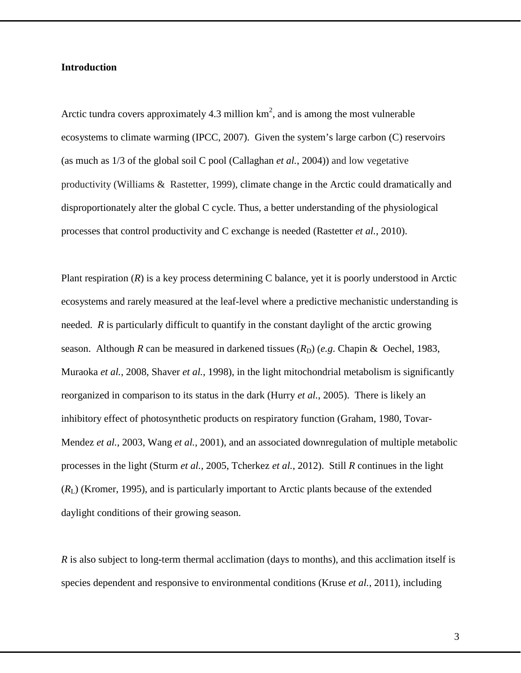### **Introduction**

Arctic tundra covers approximately 4.3 million  $km^2$ , and is among the most vulnerable ecosystems to climate warming [\(IPCC, 2007\)](#page-28-0). Given the system's large carbon (C) reservoirs (as much as 1/3 of the global soil C pool [\(Callaghan](#page-25-0) *et al.*, 2004)) and low vegetative productivity [\(Williams & Rastetter, 1999\)](#page-31-0), climate change in the Arctic could dramatically and disproportionately alter the global C cycle. Thus, a better understanding of the physiological processes that control productivity and C exchange is needed [\(Rastetter](#page-29-0) *et al.*, 2010).

Plant respiration (*R*) is a key process determining C balance, yet it is poorly understood in Arctic ecosystems and rarely measured at the leaf-level where a predictive mechanistic understanding is needed. *R* is particularly difficult to quantify in the constant daylight of the arctic growing season. Although *R* can be measured in darkened tissues  $(R_D)$  (*e.g.* [Chapin & Oechel, 1983,](#page-25-1) [Muraoka](#page-29-1) *et al.*, 2008, [Shaver](#page-29-2) *et al.*, 1998), in the light mitochondrial metabolism is significantly reorganized in comparison to its status in the dark (Hurry *et al.*[, 2005\)](#page-28-1). There is likely an inhibitory effect of photosynthetic products on respiratory function [\(Graham, 1980,](#page-27-0) [Tovar-](#page-30-0)[Mendez](#page-30-0) *et al.*, 2003, Wang *et al.*[, 2001\)](#page-31-1), and an associated downregulation of multiple metabolic processes in the light (Sturm *et al.*[, 2005,](#page-30-1) [Tcherkez](#page-30-2) *et al.*, 2012). Still *R* continues in the light (*R*L) [\(Kromer, 1995\)](#page-28-2), and is particularly important to Arctic plants because of the extended daylight conditions of their growing season.

*R* is also subject to long-term thermal acclimation (days to months), and this acclimation itself is species dependent and responsive to environmental conditions (Kruse *et al.*[, 2011\)](#page-28-3), including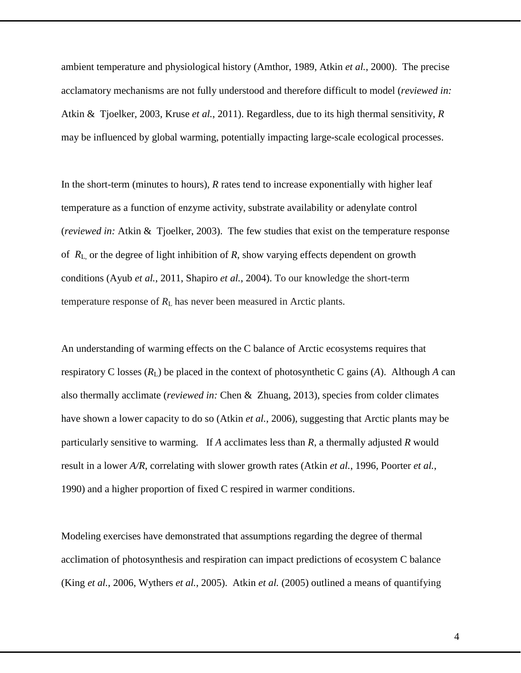ambient temperature and physiological history [\(Amthor, 1989,](#page-24-0) Atkin *et al.*[, 2000\)](#page-24-1). The precise acclamatory mechanisms are not fully understood and therefore difficult to model (*reviewed in:* [Atkin & Tjoelker, 2003,](#page-24-2) Kruse *et al.*[, 2011\)](#page-28-3). Regardless, due to its high thermal sensitivity, *R*  may be influenced by global warming, potentially impacting large-scale ecological processes.

In the short-term (minutes to hours), *R* rates tend to increase exponentially with higher leaf temperature as a function of enzyme activity, substrate availability or adenylate control (*reviewed in:* [Atkin & Tjoelker, 2003\)](#page-24-2). The few studies that exist on the temperature response of *R*L, or the degree of light inhibition of *R*, show varying effects dependent on growth conditions (Ayub *et al.*[, 2011,](#page-25-2) [Shapiro](#page-29-3) *et al.*, 2004). To our knowledge the short-term temperature response of  $R_L$  has never been measured in Arctic plants.

An understanding of warming effects on the C balance of Arctic ecosystems requires that respiratory C losses  $(R_L)$  be placed in the context of photosynthetic C gains  $(A)$ . Although *A* can also thermally acclimate (*reviewed in:* [Chen & Zhuang, 2013\)](#page-25-3), species from colder climates have shown a lower capacity to do so (Atkin *et al.*[, 2006\)](#page-24-3), suggesting that Arctic plants may be particularly sensitive to warming. If *A* acclimates less than *R*, a thermally adjusted *R* would result in a lower *A/R*, correlating with slower growth rates (Atkin *et al.*[, 1996,](#page-24-4) [Poorter](#page-29-4) *et al.*, [1990\)](#page-29-4) and a higher proportion of fixed C respired in warmer conditions.

Modeling exercises have demonstrated that assumptions regarding the degree of thermal acclimation of photosynthesis and respiration can impact predictions of ecosystem C balance (King *et al.*[, 2006,](#page-28-4) [Wythers](#page-31-2) *et al.*, 2005). Atkin *et al.* [\(2005\)](#page-24-5) outlined a means of quantifying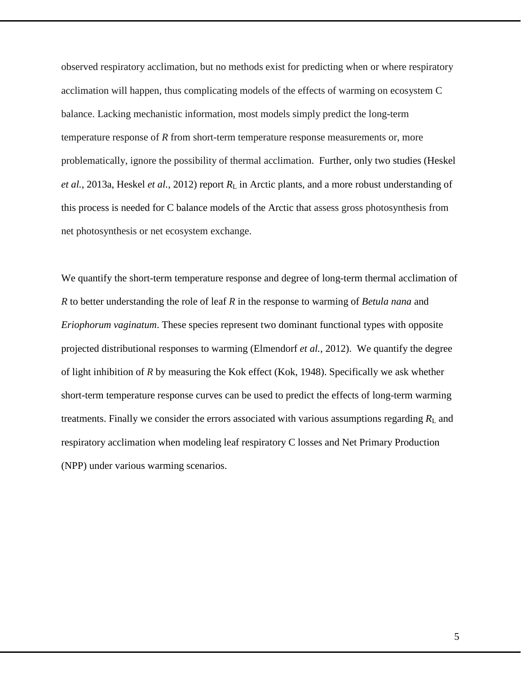observed respiratory acclimation, but no methods exist for predicting when or where respiratory acclimation will happen, thus complicating models of the effects of warming on ecosystem C balance. Lacking mechanistic information, most models simply predict the long-term temperature response of *R* from short-term temperature response measurements or, more problematically, ignore the possibility of thermal acclimation. Further, only two studies [\(Heskel](#page-27-1) *et al.*[, 2013a,](#page-27-1) [Heskel](#page-27-2) *et al.*, 2012) report *R*<sup>L</sup> in Arctic plants, and a more robust understanding of this process is needed for C balance models of the Arctic that assess gross photosynthesis from net photosynthesis or net ecosystem exchange.

We quantify the short-term temperature response and degree of long-term thermal acclimation of *R* to better understanding the role of leaf *R* in the response to warming of *Betula nana* and *Eriophorum vaginatum*. These species represent two dominant functional types with opposite projected distributional responses to warming [\(Elmendorf](#page-26-0) *et al.*, 2012). We quantify the degree of light inhibition of *R* by measuring the Kok effect [\(Kok, 1948\)](#page-28-5). Specifically we ask whether short-term temperature response curves can be used to predict the effects of long-term warming treatments. Finally we consider the errors associated with various assumptions regarding  $R<sub>L</sub>$  and respiratory acclimation when modeling leaf respiratory C losses and Net Primary Production (NPP) under various warming scenarios.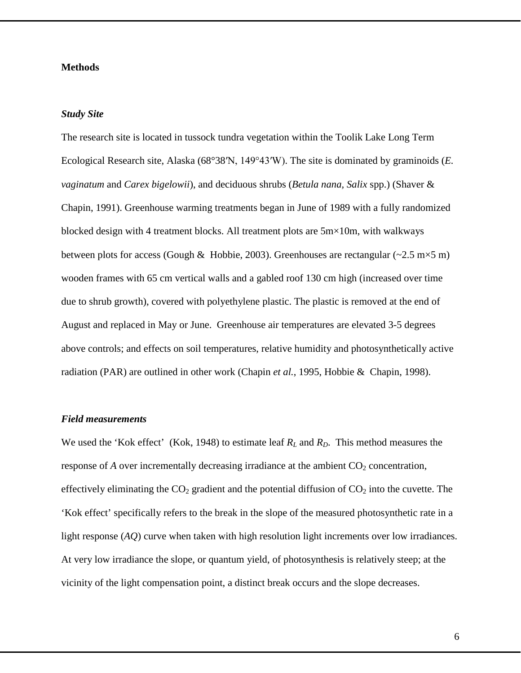### **Methods**

#### *Study Site*

The research site is located in tussock tundra vegetation within the Toolik Lake Long Term Ecological Research site, Alaska (68°38′N, 149°43′W). The site is dominated by graminoids (*E. vaginatum* and *Carex bigelowii*), and deciduous shrubs (*Betula nana, Salix* spp.) [\(Shaver &](#page-29-5)  [Chapin, 1991\)](#page-29-5). Greenhouse warming treatments began in June of 1989 with a fully randomized blocked design with 4 treatment blocks. All treatment plots are  $5m \times 10m$ , with walkways between plots for access [\(Gough & Hobbie, 2003\)](#page-27-3). Greenhouses are rectangular ( $\approx$ 2.5 m $\times$ 5 m) wooden frames with 65 cm vertical walls and a gabled roof 130 cm high (increased over time due to shrub growth), covered with polyethylene plastic. The plastic is removed at the end of August and replaced in May or June. Greenhouse air temperatures are elevated 3-5 degrees above controls; and effects on soil temperatures, relative humidity and photosynthetically active radiation (PAR) are outlined in other work [\(Chapin](#page-25-4) *et al.*, 1995, [Hobbie & Chapin, 1998\)](#page-27-4).

### *Field measurements*

We used the 'Kok effect' [\(Kok, 1948\)](#page-28-5) to estimate leaf  $R_L$  and  $R_D$ . This method measures the response of  $A$  over incrementally decreasing irradiance at the ambient  $CO<sub>2</sub>$  concentration, effectively eliminating the  $CO<sub>2</sub>$  gradient and the potential diffusion of  $CO<sub>2</sub>$  into the cuvette. The 'Kok effect' specifically refers to the break in the slope of the measured photosynthetic rate in a light response (*AQ*) curve when taken with high resolution light increments over low irradiances. At very low irradiance the slope, or quantum yield, of photosynthesis is relatively steep; at the vicinity of the light compensation point, a distinct break occurs and the slope decreases.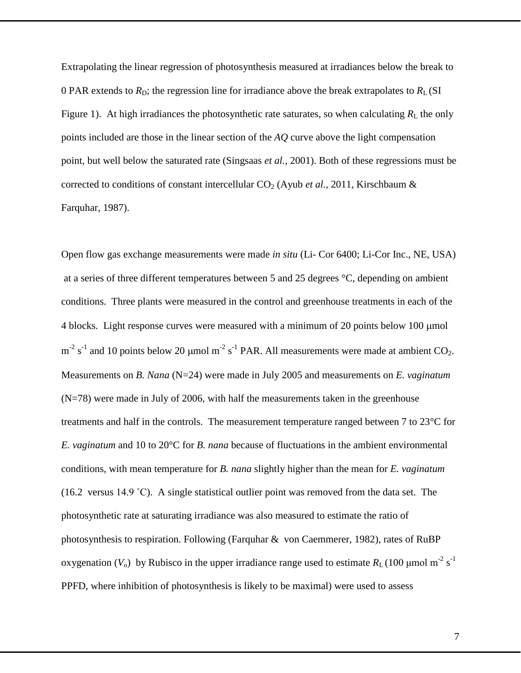Extrapolating the linear regression of photosynthesis measured at irradiances below the break to 0 PAR extends to  $R_D$ ; the regression line for irradiance above the break extrapolates to  $R_L(SI)$ Figure 1). At high irradiances the photosynthetic rate saturates, so when calculating  $R_L$  the only points included are those in the linear section of the *AQ* curve above the light compensation point, but well below the saturated rate [\(Singsaas](#page-30-3) *et al.*, 2001). Both of these regressions must be corrected to conditions of constant intercellular  $CO<sub>2</sub>$  (Ayub *et al.*[, 2011,](#page-25-2) Kirschbaum  $\&$ [Farquhar, 1987\)](#page-28-6).

Open flow gas exchange measurements were made *in situ* (Li- Cor 6400; Li-Cor Inc., NE, USA) at a series of three different temperatures between 5 and 25 degrees °C, depending on ambient conditions. Three plants were measured in the control and greenhouse treatments in each of the 4 blocks. Light response curves were measured with a minimum of 20 points below 100 µmol  $m<sup>-2</sup>$  s<sup>-1</sup> and 10 points below 20 µmol m<sup>-2</sup> s<sup>-1</sup> PAR. All measurements were made at ambient CO<sub>2</sub>. Measurements on *B. Nana* (N=24) were made in July 2005 and measurements on *E. vaginatum* (N=78) were made in July of 2006, with half the measurements taken in the greenhouse treatments and half in the controls. The measurement temperature ranged between 7 to 23°C for *E. vaginatum* and 10 to 20°C for *B. nana* because of fluctuations in the ambient environmental conditions, with mean temperature for *B. nana* slightly higher than the mean for *E. vaginatum* (16.2 versus 14.9 ˚C). A single statistical outlier point was removed from the data set. The photosynthetic rate at saturating irradiance was also measured to estimate the ratio of photosynthesis to respiration. Following [\(Farquhar & von Caemmerer, 1982\)](#page-26-1), rates of RuBP oxygenation ( $V_0$ ) by Rubisco in the upper irradiance range used to estimate  $R_L$  (100 µmol m<sup>-2</sup> s<sup>-1</sup> PPFD, where inhibition of photosynthesis is likely to be maximal) were used to assess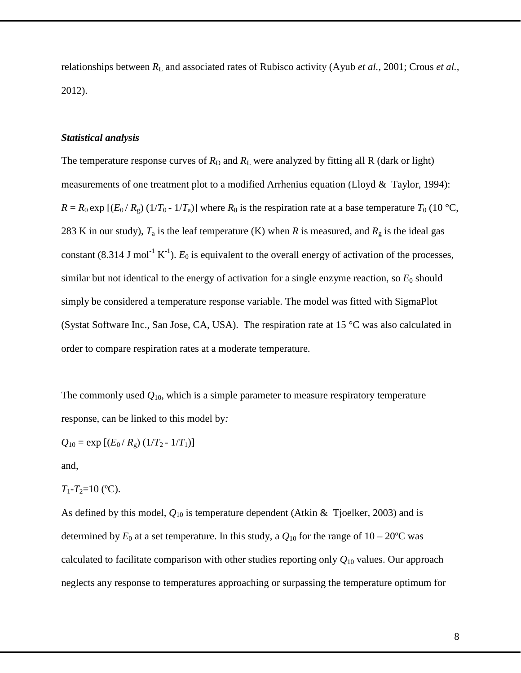relationships between  $R_L$  and associated rates of Rubisco activity (Ayub *et al., 2001; Crous et al.,* 2012).

### *Statistical analysis*

The temperature response curves of  $R_D$  and  $R_L$  were analyzed by fitting all R (dark or light) measurements of one treatment plot to a modified Arrhenius equation (Lloyd  $&$  Taylor, 1994):  $R = R_0 \exp [(E_0/R_g)(1/T_0 - 1/T_a)]$  where  $R_0$  is the respiration rate at a base temperature  $T_0$  (10 °C, 283 K in our study),  $T_a$  is the leaf temperature (K) when *R* is measured, and  $R_g$  is the ideal gas constant (8.314 J mol<sup>-1</sup> K<sup>-1</sup>).  $E_0$  is equivalent to the overall energy of activation of the processes, similar but not identical to the energy of activation for a single enzyme reaction, so  $E_0$  should simply be considered a temperature response variable. The model was fitted with SigmaPlot (Systat Software Inc., San Jose, CA, USA). The respiration rate at 15 °C was also calculated in order to compare respiration rates at a moderate temperature.

The commonly used  $Q_{10}$ , which is a simple parameter to measure respiratory temperature response, can be linked to this model by*:* 

$$
Q_{10} = \exp [(E_0/R_{\rm g}) (1/T_2 - 1/T_1)]
$$

and,

$$
T_1 - T_2 = 10
$$
 (°C).

As defined by this model, *Q*<sup>10</sup> is temperature dependent [\(Atkin & Tjoelker, 2003\)](#page-24-2) and is determined by  $E_0$  at a set temperature. In this study, a  $Q_{10}$  for the range of  $10-20$ °C was calculated to facilitate comparison with other studies reporting only *Q*<sup>10</sup> values. Our approach neglects any response to temperatures approaching or surpassing the temperature optimum for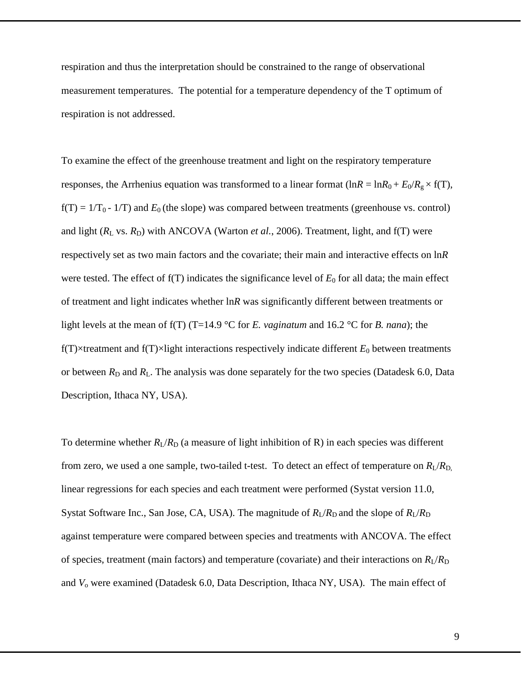respiration and thus the interpretation should be constrained to the range of observational measurement temperatures. The potential for a temperature dependency of the T optimum of respiration is not addressed.

To examine the effect of the greenhouse treatment and light on the respiratory temperature responses, the Arrhenius equation was transformed to a linear format  $(lnR = lnR_0 + E_0/R_g \times f(T)$ ,  $f(T) = 1/T_0 - 1/T$ ) and  $E_0$  (the slope) was compared between treatments (greenhouse vs. control) and light  $(R_L \text{ vs. } R_D)$  with ANCOVA [\(Warton](#page-31-3) *et al.*, 2006). Treatment, light, and  $f(T)$  were respectively set as two main factors and the covariate; their main and interactive effects on ln*R*  were tested. The effect of  $f(T)$  indicates the significance level of  $E_0$  for all data; the main effect of treatment and light indicates whether ln*R* was significantly different between treatments or light levels at the mean of f(T) (T=14.9 °C for *E. vaginatum* and 16.2 °C for *B. nana*); the  $f(T)$ ×treatment and  $f(T)$ ×light interactions respectively indicate different  $E_0$  between treatments or between  $R_D$  and  $R_L$ . The analysis was done separately for the two species (Datadesk 6.0, Data Description, Ithaca NY, USA).

To determine whether  $R_L/R_D$  (a measure of light inhibition of R) in each species was different from zero, we used a one sample, two-tailed t-test. To detect an effect of temperature on  $R_{\rm L}/R_{\rm D}$ , linear regressions for each species and each treatment were performed (Systat version 11.0, Systat Software Inc., San Jose, CA, USA). The magnitude of  $R_L/R_D$  and the slope of  $R_L/R_D$ against temperature were compared between species and treatments with ANCOVA. The effect of species, treatment (main factors) and temperature (covariate) and their interactions on  $R_L/R_D$ and *V*<sup>o</sup> were examined (Datadesk 6.0, Data Description, Ithaca NY, USA). The main effect of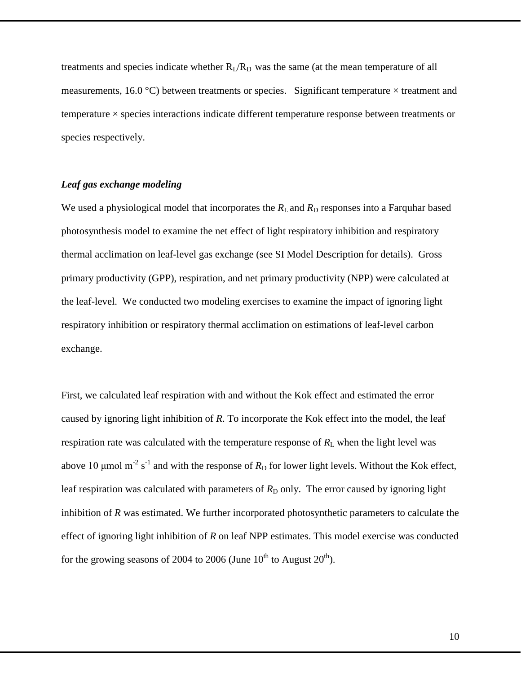treatments and species indicate whether  $R_l/R_p$  was the same (at the mean temperature of all measurements, 16.0 °C) between treatments or species. Significant temperature  $\times$  treatment and temperature × species interactions indicate different temperature response between treatments or species respectively.

# *Leaf gas exchange modeling*

We used a physiological model that incorporates the  $R_L$  and  $R_D$  responses into a Farquhar based photosynthesis model to examine the net effect of light respiratory inhibition and respiratory thermal acclimation on leaf-level gas exchange (see SI Model Description for details). Gross primary productivity (GPP), respiration, and net primary productivity (NPP) were calculated at the leaf-level. We conducted two modeling exercises to examine the impact of ignoring light respiratory inhibition or respiratory thermal acclimation on estimations of leaf-level carbon exchange.

First, we calculated leaf respiration with and without the Kok effect and estimated the error caused by ignoring light inhibition of *R*. To incorporate the Kok effect into the model, the leaf respiration rate was calculated with the temperature response of  $R_L$  when the light level was above 10  $\mu$ mol m<sup>-2</sup> s<sup>-1</sup> and with the response of  $R<sub>D</sub>$  for lower light levels. Without the Kok effect, leaf respiration was calculated with parameters of  $R<sub>D</sub>$  only. The error caused by ignoring light inhibition of *R* was estimated. We further incorporated photosynthetic parameters to calculate the effect of ignoring light inhibition of *R* on leaf NPP estimates. This model exercise was conducted for the growing seasons of 2004 to 2006 (June  $10^{th}$  to August  $20^{th}$ ).

10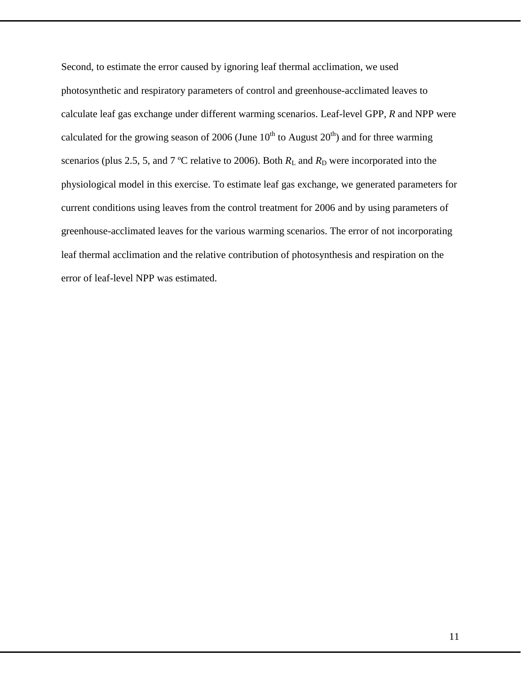Second, to estimate the error caused by ignoring leaf thermal acclimation, we used photosynthetic and respiratory parameters of control and greenhouse-acclimated leaves to calculate leaf gas exchange under different warming scenarios. Leaf-level GPP, *R* and NPP were calculated for the growing season of 2006 (June  $10^{th}$  to August  $20^{th}$ ) and for three warming scenarios (plus 2.5, 5, and 7 °C relative to 2006). Both  $R<sub>L</sub>$  and  $R<sub>D</sub>$  were incorporated into the physiological model in this exercise. To estimate leaf gas exchange, we generated parameters for current conditions using leaves from the control treatment for 2006 and by using parameters of greenhouse-acclimated leaves for the various warming scenarios. The error of not incorporating leaf thermal acclimation and the relative contribution of photosynthesis and respiration on the error of leaf-level NPP was estimated.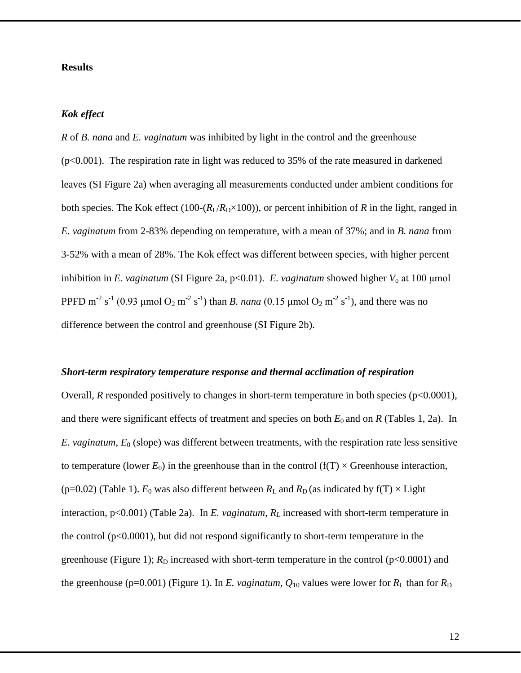### **Results**

### *Kok effect*

*R* of *B. nana* and *E. vaginatum* was inhibited by light in the control and the greenhouse  $(p<0.001)$ . The respiration rate in light was reduced to 35% of the rate measured in darkened leaves (SI Figure 2a) when averaging all measurements conducted under ambient conditions for both species. The Kok effect (100- $(R_I/R_D \times 100)$ ), or percent inhibition of *R* in the light, ranged in *E. vaginatum* from 2-83% depending on temperature, with a mean of 37%; and in *B. nana* from 3-52% with a mean of 28%. The Kok effect was different between species, with higher percent inhibition in *E. vaginatum* (SI Figure 2a,  $p<0.01$ ). *E. vaginatum* showed higher  $V_0$  at 100 µmol PPFD m<sup>-2</sup> s<sup>-1</sup> (0.93 μmol O<sub>2</sub> m<sup>-2</sup> s<sup>-1</sup>) than *B. nana* (0.15 μmol O<sub>2</sub> m<sup>-2</sup> s<sup>-1</sup>), and there was no difference between the control and greenhouse (SI Figure 2b).

#### *Short-term respiratory temperature response and thermal acclimation of respiration*

Overall, *R* responded positively to changes in short-term temperature in both species (p<0.0001), and there were significant effects of treatment and species on both  $E_0$  and on  $R$  (Tables 1, 2a). In *E. vaginatum*, *E*<sup>0</sup> (slope) was different between treatments, with the respiration rate less sensitive to temperature (lower  $E_0$ ) in the greenhouse than in the control ( $f(T) \times$  Greenhouse interaction, (p=0.02) (Table 1).  $E_0$  was also different between  $R_L$  and  $R_D$  (as indicated by f(T)  $\times$  Light interaction, p<0.001) (Table 2a). In *E. vaginatum, R<sub>L</sub>* increased with short-term temperature in the control  $(p<0.0001)$ , but did not respond significantly to short-term temperature in the greenhouse (Figure 1);  $R_D$  increased with short-term temperature in the control ( $p<0.0001$ ) and the greenhouse (p=0.001) (Figure 1). In *E. vaginatum,*  $Q_{10}$  values were lower for  $R_L$  than for  $R_D$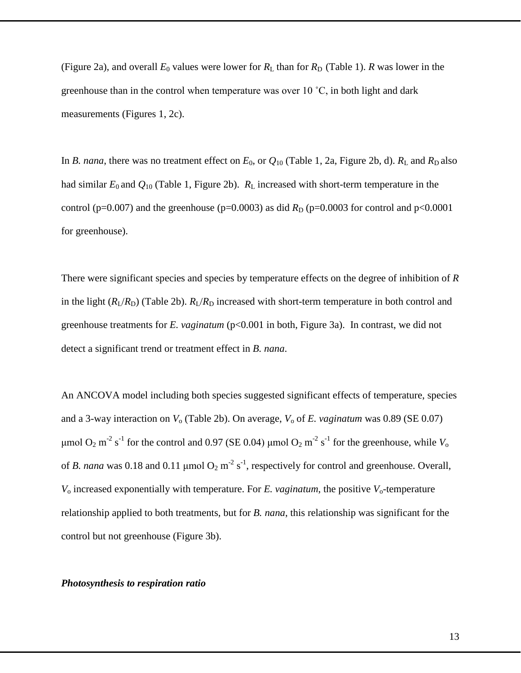(Figure 2a), and overall  $E_0$  values were lower for  $R_L$  than for  $R_D$  (Table 1). *R* was lower in the greenhouse than in the control when temperature was over 10 ˚C, in both light and dark measurements (Figures 1, 2c).

In *B. nana*, there was no treatment effect on  $E_0$ , or  $Q_{10}$  (Table 1, 2a, Figure 2b, d).  $R_L$  and  $R_D$  also had similar  $E_0$  and  $Q_{10}$  (Table 1, Figure 2b).  $R_L$  increased with short-term temperature in the control (p=0.007) and the greenhouse (p=0.0003) as did  $R_D$  (p=0.0003 for control and p<0.0001 for greenhouse).

There were significant species and species by temperature effects on the degree of inhibition of *R* in the light  $(R_I/R_D)$  (Table 2b).  $R_I/R_D$  increased with short-term temperature in both control and greenhouse treatments for *E. vaginatum* (p<0.001 in both, Figure 3a). In contrast, we did not detect a significant trend or treatment effect in *B. nana*.

An ANCOVA model including both species suggested significant effects of temperature, species and a 3-way interaction on  $V_0$  (Table 2b). On average,  $V_0$  of *E. vaginatum* was 0.89 (SE 0.07) μmol O<sub>2</sub> m<sup>-2</sup> s<sup>-1</sup> for the control and 0.97 (SE 0.04) μmol O<sub>2</sub> m<sup>-2</sup> s<sup>-1</sup> for the greenhouse, while *V*<sub>o</sub> of *B. nana* was 0.18 and 0.11  $\mu$ mol  $O_2$  m<sup>-2</sup> s<sup>-1</sup>, respectively for control and greenhouse. Overall,  $V_0$  increased exponentially with temperature. For *E. vaginatum*, the positive  $V_0$ -temperature relationship applied to both treatments, but for *B. nana*, this relationship was significant for the control but not greenhouse (Figure 3b).

#### *Photosynthesis to respiration ratio*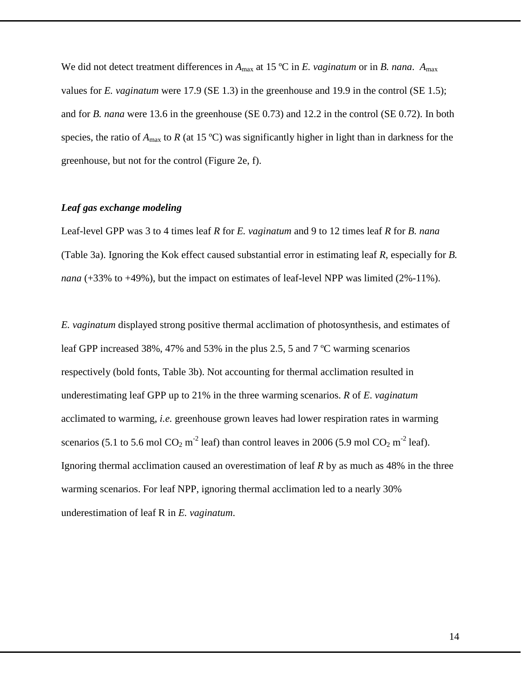We did not detect treatment differences in  $A_{\text{max}}$  at 15 °C in *E. vaginatum* or in *B. nana.*  $A_{\text{max}}$ values for *E. vaginatum* were 17.9 (SE 1.3) in the greenhouse and 19.9 in the control (SE 1.5); and for *B. nana* were 13.6 in the greenhouse (SE 0.73) and 12.2 in the control (SE 0.72). In both species, the ratio of  $A_{\text{max}}$  to *R* (at 15 °C) was significantly higher in light than in darkness for the greenhouse, but not for the control (Figure 2e, f).

## *Leaf gas exchange modeling*

Leaf-level GPP was 3 to 4 times leaf *R* for *E. vaginatum* and 9 to 12 times leaf *R* for *B. nana* (Table 3a). Ignoring the Kok effect caused substantial error in estimating leaf *R*, especially for *B. nana* (+33% to +49%), but the impact on estimates of leaf-level NPP was limited (2%-11%).

*E. vaginatum* displayed strong positive thermal acclimation of photosynthesis, and estimates of leaf GPP increased 38%, 47% and 53% in the plus 2.5, 5 and 7 ºC warming scenarios respectively (bold fonts, Table 3b). Not accounting for thermal acclimation resulted in underestimating leaf GPP up to 21% in the three warming scenarios. *R* of *E*. *vaginatum* acclimated to warming, *i.e.* greenhouse grown leaves had lower respiration rates in warming scenarios (5.1 to 5.6 mol CO<sub>2</sub> m<sup>-2</sup> leaf) than control leaves in 2006 (5.9 mol CO<sub>2</sub> m<sup>-2</sup> leaf). Ignoring thermal acclimation caused an overestimation of leaf *R* by as much as 48% in the three warming scenarios. For leaf NPP, ignoring thermal acclimation led to a nearly 30% underestimation of leaf R in *E. vaginatum*.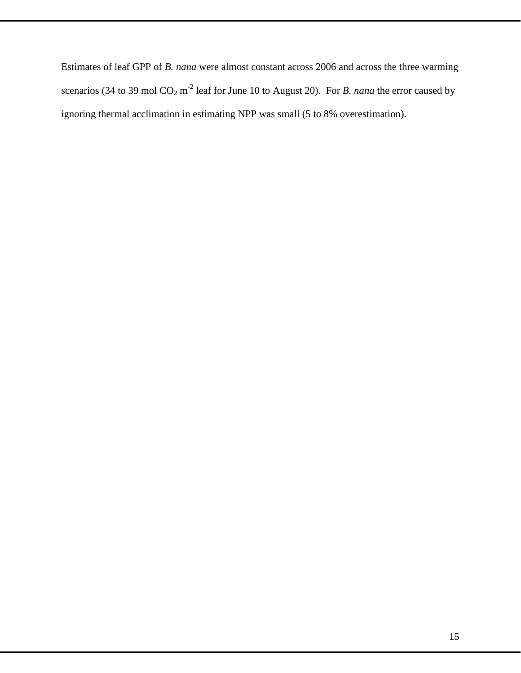Estimates of leaf GPP of *B. nana* were almost constant across 2006 and across the three warming scenarios (34 to 39 mol CO<sub>2</sub> m<sup>-2</sup> leaf for June 10 to August 20). For *B. nana* the error caused by ignoring thermal acclimation in estimating NPP was small (5 to 8% overestimation).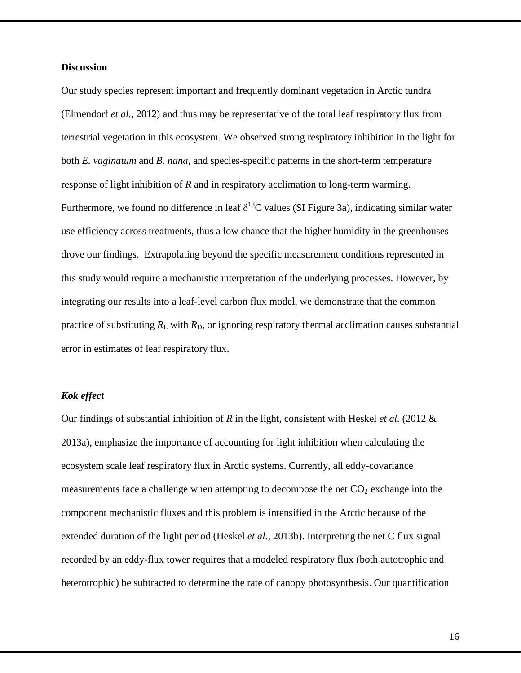### **Discussion**

Our study species represent important and frequently dominant vegetation in Arctic tundra [\(Elmendorf](#page-26-0) *et al.*, 2012) and thus may be representative of the total leaf respiratory flux from terrestrial vegetation in this ecosystem. We observed strong respiratory inhibition in the light for both *E. vaginatum* and *B. nana*, and species-specific patterns in the short-term temperature response of light inhibition of *R* and in respiratory acclimation to long-term warming. Furthermore, we found no difference in leaf  $\delta^{13}$ C values (SI Figure 3a), indicating similar water use efficiency across treatments, thus a low chance that the higher humidity in the greenhouses drove our findings. Extrapolating beyond the specific measurement conditions represented in this study would require a mechanistic interpretation of the underlying processes. However, by integrating our results into a leaf-level carbon flux model, we demonstrate that the common practice of substituting  $R_L$  with  $R_D$ , or ignoring respiratory thermal acclimation causes substantial error in estimates of leaf respiratory flux.

## *Kok effect*

Our findings of substantial inhibition of *R* in the light, consistent with Heskel *et al.* (2012 & 2013a), emphasize the importance of accounting for light inhibition when calculating the ecosystem scale leaf respiratory flux in Arctic systems. Currently, all eddy-covariance measurements face a challenge when attempting to decompose the net  $CO<sub>2</sub>$  exchange into the component mechanistic fluxes and this problem is intensified in the Arctic because of the extended duration of the light period (Heskel *et al.*[, 2013b\)](#page-27-5). Interpreting the net C flux signal recorded by an eddy-flux tower requires that a modeled respiratory flux (both autotrophic and heterotrophic) be subtracted to determine the rate of canopy photosynthesis. Our quantification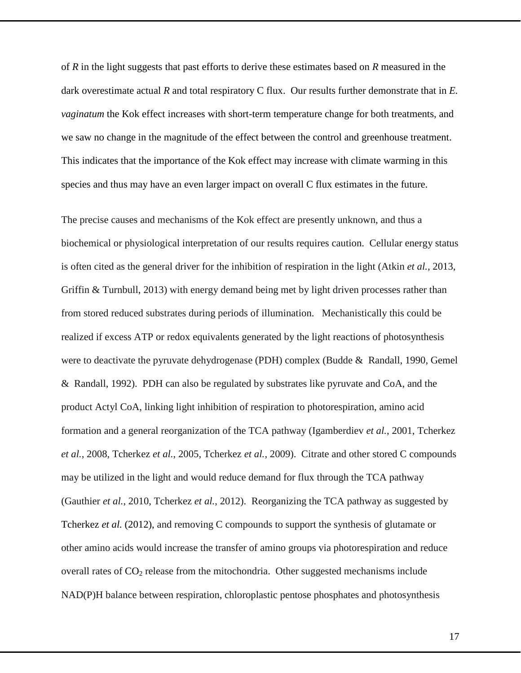of *R* in the light suggests that past efforts to derive these estimates based on *R* measured in the dark overestimate actual *R* and total respiratory C flux. Our results further demonstrate that in *E. vaginatum* the Kok effect increases with short-term temperature change for both treatments, and we saw no change in the magnitude of the effect between the control and greenhouse treatment. This indicates that the importance of the Kok effect may increase with climate warming in this species and thus may have an even larger impact on overall C flux estimates in the future.

The precise causes and mechanisms of the Kok effect are presently unknown, and thus a biochemical or physiological interpretation of our results requires caution. Cellular energy status is often cited as the general driver for the inhibition of respiration in the light (Atkin *et al.,* 2013, Griffin & Turnbull, 2013) with energy demand being met by light driven processes rather than from stored reduced substrates during periods of illumination. Mechanistically this could be realized if excess ATP or redox equivalents generated by the light reactions of photosynthesis were to deactivate the pyruvate dehydrogenase (PDH) complex [\(Budde & Randall, 1990,](#page-25-5) [Gemel](#page-27-6)  [& Randall, 1992\)](#page-27-6). PDH can also be regulated by substrates like pyruvate and CoA, and the product Actyl CoA, linking light inhibition of respiration to photorespiration, amino acid formation and a general reorganization of the TCA pathway [\(Igamberdiev](#page-28-7) *et al.*, 2001, [Tcherkez](#page-30-4) *et al.*[, 2008,](#page-30-4) [Tcherkez](#page-30-5) *et al.*, 2005, [Tcherkez](#page-30-6) *et al.*, 2009). Citrate and other stored C compounds may be utilized in the light and would reduce demand for flux through the TCA pathway [\(Gauthier](#page-26-2) *et al.*, 2010, [Tcherkez](#page-30-2) *et al.*, 2012). Reorganizing the TCA pathway as suggested by [Tcherkez](#page-30-2) *et al.* (2012), and removing C compounds to support the synthesis of glutamate or other amino acids would increase the transfer of amino groups via photorespiration and reduce overall rates of  $CO<sub>2</sub>$  release from the mitochondria. Other suggested mechanisms include NAD(P)H balance between respiration, chloroplastic pentose phosphates and photosynthesis

17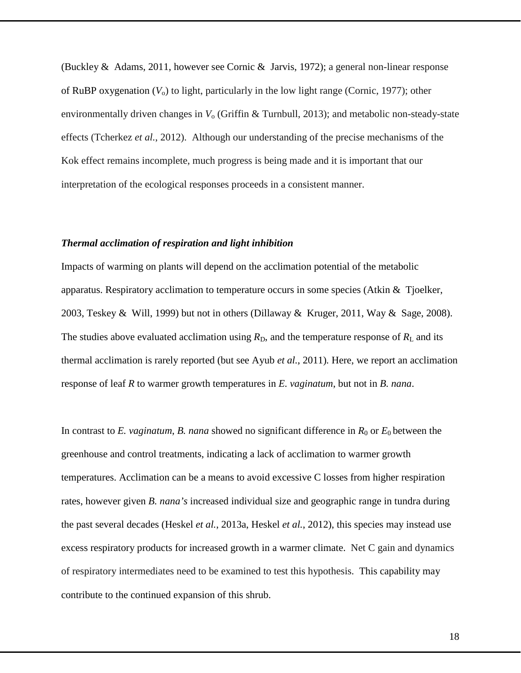[\(Buckley & Adams, 2011,](#page-25-6) however see [Cornic & Jarvis, 1972\)](#page-26-3); a general non-linear response of RuBP oxygenation  $(V_0)$  to light, particularly in the low light range [\(Cornic, 1977\)](#page-26-4); other environmentally driven changes in *V*<sup>o</sup> (Griffin & Turnbull, 2013); and metabolic non-steady-state effects [\(Tcherkez](#page-30-2) *et al.*, 2012). Although our understanding of the precise mechanisms of the Kok effect remains incomplete, much progress is being made and it is important that our interpretation of the ecological responses proceeds in a consistent manner.

### *Thermal acclimation of respiration and light inhibition*

Impacts of warming on plants will depend on the acclimation potential of the metabolic apparatus. Respiratory acclimation to temperature occurs in some species [\(Atkin & Tjoelker,](#page-24-2)  [2003,](#page-24-2) [Teskey & Will, 1999\)](#page-30-7) but not in others [\(Dillaway & Kruger,](#page-26-5) 2011, [Way & Sage, 2008\)](#page-31-4). The studies above evaluated acclimation using  $R<sub>D</sub>$ , and the temperature response of  $R<sub>L</sub>$  and its thermal acclimation is rarely reported (but see Ayub *et al.*[, 2011\)](#page-25-2)*.* Here, we report an acclimation response of leaf *R* to warmer growth temperatures in *E. vaginatum*, but not in *B. nana*.

In contrast to *E. vaginatum, B. nana* showed no significant difference in  $R_0$  or  $E_0$  between the greenhouse and control treatments, indicating a lack of acclimation to warmer growth temperatures. Acclimation can be a means to avoid excessive C losses from higher respiration rates, however given *B. nana's* increased individual size and geographic range in tundra during the past several decades (Heskel *et al.*[, 2013a,](#page-27-1) [Heskel](#page-27-2) *et al.*, 2012), this species may instead use excess respiratory products for increased growth in a warmer climate. Net C gain and dynamics of respiratory intermediates need to be examined to test this hypothesis. This capability may contribute to the continued expansion of this shrub.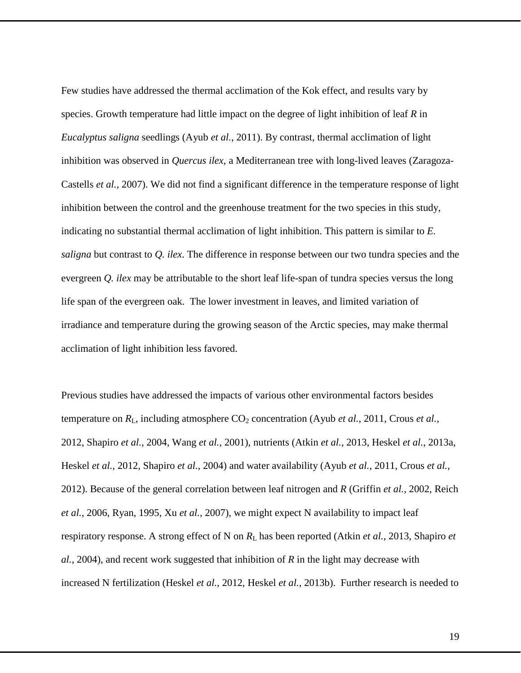Few studies have addressed the thermal acclimation of the Kok effect, and results vary by species. Growth temperature had little impact on the degree of light inhibition of leaf *R* in *Eucalyptus saligna* seedlings (Ayub *et al.*[, 2011\)](#page-25-2). By contrast, thermal acclimation of light inhibition was observed in *Quercus ilex*, a Mediterranean tree with long-lived leaves [\(Zaragoza-](#page-31-5)[Castells](#page-31-5) *et al.*, 2007). We did not find a significant difference in the temperature response of light inhibition between the control and the greenhouse treatment for the two species in this study, indicating no substantial thermal acclimation of light inhibition. This pattern is similar to *E. saligna* but contrast to *Q. ilex*. The difference in response between our two tundra species and the evergreen *Q. ilex* may be attributable to the short leaf life-span of tundra species versus the long life span of the evergreen oak. The lower investment in leaves, and limited variation of irradiance and temperature during the growing season of the Arctic species, may make thermal acclimation of light inhibition less favored.

Previous studies have addressed the impacts of various other environmental factors besides temperature on  $R_L$ , including atmosphere  $CO_2$  concentration (Ayub *et al.*[, 2011,](#page-25-2) [Crous](#page-26-6) *et al.*, [2012,](#page-26-6) [Shapiro](#page-29-3) *et al.*, 2004, Wang *et al.*[, 2001\)](#page-31-1), nutrients (Atkin *et al.*[, 2013,](#page-24-6) Heskel *et al.*[, 2013a,](#page-27-1) [Heskel](#page-27-2) *et al.*, 2012, [Shapiro](#page-29-3) *et al.*, 2004) and water availability (Ayub *et al.*[, 2011,](#page-25-2) [Crous](#page-26-6) *et al.*, [2012\)](#page-26-6). Because of the general correlation between leaf nitrogen and *R* [\(Griffin](#page-27-7) *et al.*, 2002, [Reich](#page-29-7) *et al.*[, 2006,](#page-29-7) [Ryan, 1995,](#page-29-8) Xu *et al.*[, 2007\)](#page-31-6), we might expect N availability to impact leaf respiratory response. A strong effect of N on  $R_L$  has been reported (Atkin *et al.*[, 2013,](#page-24-6) [Shapiro](#page-29-3) *et al.*[, 2004\)](#page-29-3), and recent work suggested that inhibition of *R* in the light may decrease with increased N fertilization [\(Heskel](#page-27-2) *et al.*, 2012, Heskel *et al.*[, 2013b\)](#page-27-5). Further research is needed to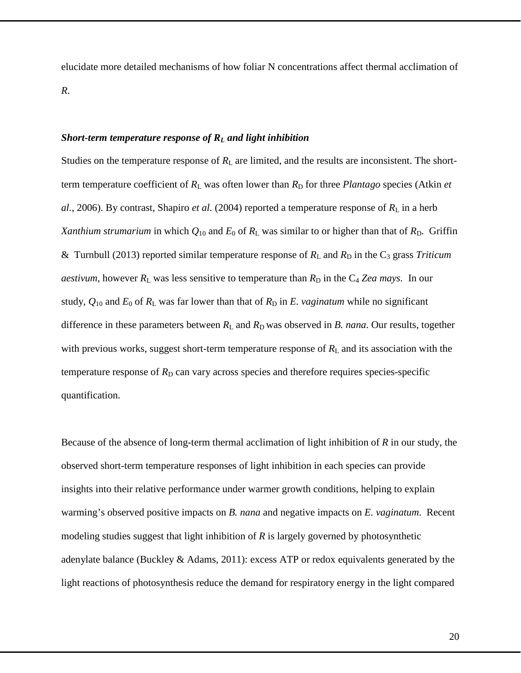elucidate more detailed mechanisms of how foliar N concentrations affect thermal acclimation of *R*.

### *Short-term temperature response of RL and light inhibition*

Studies on the temperature response of  $R<sub>L</sub>$  are limited, and the results are inconsistent. The shortterm temperature coefficient of  $R_L$  was often lower than  $R_D$  for three *Plantago* species [\(Atkin](#page-24-3) *et*  $al.$ [, 2006\)](#page-24-3). By contrast, [Shapiro](#page-29-3) *et al.* (2004) reported a temperature response of  $R<sub>L</sub>$  in a herb *Xanthium strumarium* in which  $Q_{10}$  and  $E_0$  of  $R_L$  was similar to or higher than that of  $R_D$ . Griffin [& Turnbull](#page-27-8) (2013) reported similar temperature response of  $R_L$  and  $R_D$  in the  $C_3$  grass *Triticum aestivum,* however  $R_L$  was less sensitive to temperature than  $R_D$  in the  $C_4$  *Zea mays.* In our study,  $Q_{10}$  and  $E_0$  of  $R_L$  was far lower than that of  $R_D$  in  $E$ . *vaginatum* while no significant difference in these parameters between  $R_L$  and  $R_D$  was observed in *B. nana*. Our results, together with previous works, suggest short-term temperature response of  $R<sub>L</sub>$  and its association with the temperature response of  $R_D$  can vary across species and therefore requires species-specific quantification.

Because of the absence of long-term thermal acclimation of light inhibition of *R* in our study, the observed short-term temperature responses of light inhibition in each species can provide insights into their relative performance under warmer growth conditions, helping to explain warming's observed positive impacts on *B. nana* and negative impacts on *E. vaginatum*. Recent modeling studies suggest that light inhibition of *R* is largely governed by photosynthetic adenylate balance (Buckley & [Adams, 2011\)](#page-25-6): excess ATP or redox equivalents generated by the light reactions of photosynthesis reduce the demand for respiratory energy in the light compared

20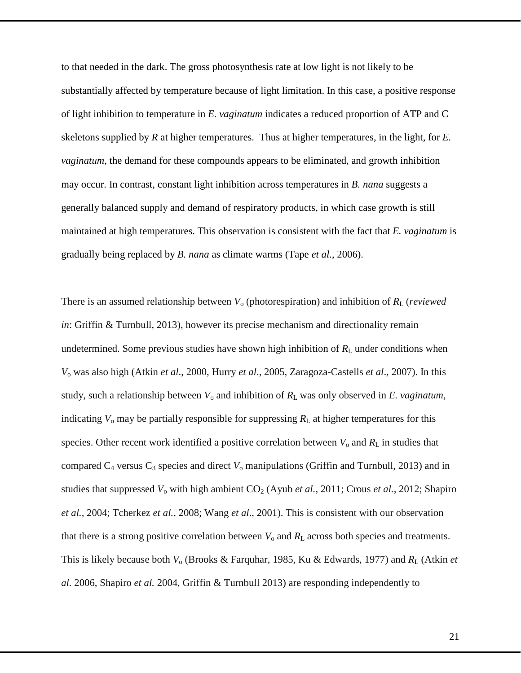to that needed in the dark. The gross photosynthesis rate at low light is not likely to be substantially affected by temperature because of light limitation. In this case, a positive response of light inhibition to temperature in *E. vaginatum* indicates a reduced proportion of ATP and C skeletons supplied by *R* at higher temperatures. Thus at higher temperatures, in the light, for *E. vaginatum*, the demand for these compounds appears to be eliminated, and growth inhibition may occur. In contrast, constant light inhibition across temperatures in *B. nana* suggests a generally balanced supply and demand of respiratory products, in which case growth is still maintained at high temperatures. This observation is consistent with the fact that *E. vaginatum* is gradually being replaced by *B. nana* as climate warms (Tape *et al.*[, 2006\)](#page-30-8).

There is an assumed relationship between *V*<sup>o</sup> (photorespiration) and inhibition of *R*<sup>L</sup> (*reviewed in*: Griffin & Turnbull, 2013), however its precise mechanism and directionality remain undetermined. Some previous studies have shown high inhibition of  $R<sub>L</sub>$  under conditions when *V*<sup>o</sup> was also high (Atkin *et al*., 2000, Hurry *et al*., 2005, Zaragoza-Castells *et al*., 2007). In this study, such a relationship between *V*<sup>o</sup> and inhibition of *R*<sup>L</sup> was only observed in *E. vaginatum,* indicating  $V_0$  may be partially responsible for suppressing  $R_L$  at higher temperatures for this species. Other recent work identified a positive correlation between  $V_0$  and  $R_L$  in studies that compared  $C_4$  versus  $C_3$  species and direct  $V_0$  manipulations (Griffin and Turnbull, 2013) and in studies that suppressed  $V_0$  with high ambient  $CO_2$  (Ayub *et al.,* 2011; Crous *et al.,* 2012; Shapiro *et al.,* 2004; Tcherkez *et al.,* 2008; Wang *et al*., 2001). This is consistent with our observation that there is a strong positive correlation between  $V_0$  and  $R_L$  across both species and treatments. This is likely because both *V*<sub>o</sub> (Brooks & Farquhar, 1985, Ku & Edwards, 1977) and *R*<sub>L</sub> (Atkin *et al.* 2006, Shapiro *et al.* 2004, Griffin & Turnbull 2013) are responding independently to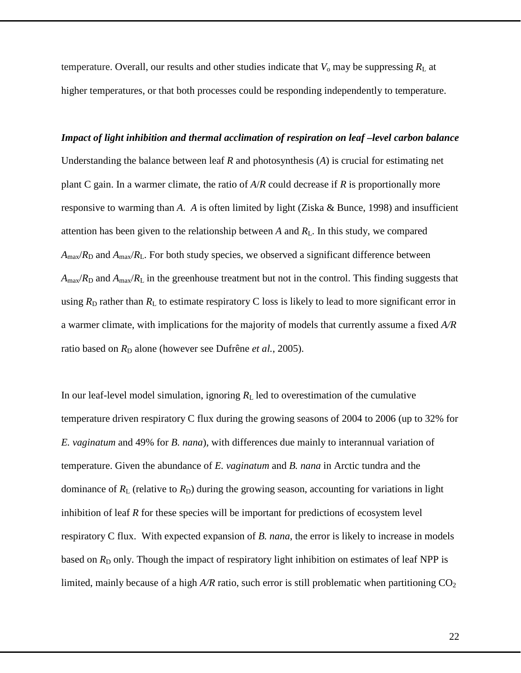temperature. Overall, our results and other studies indicate that  $V_0$  may be suppressing  $R_L$  at higher temperatures, or that both processes could be responding independently to temperature.

*Impact of light inhibition and thermal acclimation of respiration on leaf –level carbon balance* Understanding the balance between leaf *R* and photosynthesis (*A*) is crucial for estimating net plant C gain. In a warmer climate, the ratio of *A*/*R* could decrease if *R* is proportionally more responsive to warming than *A*. *A* is often limited by light [\(Ziska & Bunce,](#page-31-7) 1998) and insufficient attention has been given to the relationship between *A* and *R*L. In this study, we compared  $A_{\text{max}}/R_D$  and  $A_{\text{max}}/R_L$ . For both study species, we observed a significant difference between  $A_{\text{max}}/R_D$  and  $A_{\text{max}}/R_L$  in the greenhouse treatment but not in the control. This finding suggests that using  $R_D$  rather than  $R_L$  to estimate respiratory C loss is likely to lead to more significant error in a warmer climate, with implications for the majority of models that currently assume a fixed *A/R* ratio based on  $R<sub>D</sub>$  alone (however see [Dufrêne](#page-26-7) *et al.*, 2005).

In our leaf-level model simulation, ignoring  $R<sub>L</sub>$  led to overestimation of the cumulative temperature driven respiratory C flux during the growing seasons of 2004 to 2006 (up to 32% for *E. vaginatum* and 49% for *B. nana*), with differences due mainly to interannual variation of temperature. Given the abundance of *E. vaginatum* and *B. nana* in Arctic tundra and the dominance of  $R_L$  (relative to  $R_D$ ) during the growing season, accounting for variations in light inhibition of leaf *R* for these species will be important for predictions of ecosystem level respiratory C flux. With expected expansion of *B. nana*, the error is likely to increase in models based on  $R_D$  only. Though the impact of respiratory light inhibition on estimates of leaf NPP is limited, mainly because of a high  $A/R$  ratio, such error is still problematic when partitioning  $CO<sub>2</sub>$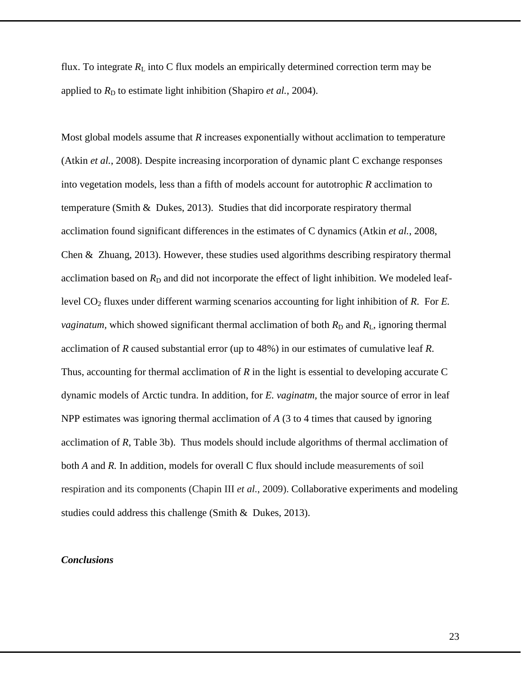flux. To integrate  $R_L$  into C flux models an empirically determined correction term may be applied to  $R<sub>D</sub>$  to estimate light inhibition [\(Shapiro](#page-29-3) *et al.*, 2004).

Most global models assume that *R* increases exponentially without acclimation to temperature (Atkin *et al.*[, 2008\)](#page-24-7). Despite increasing incorporation of dynamic plant C exchange responses into vegetation models, less than a fifth of models account for autotrophic *R* acclimation to temperature [\(Smith & Dukes, 2013\)](#page-30-9). Studies that did incorporate respiratory thermal acclimation found significant differences in the estimates of C dynamics (Atkin *et al.*[, 2008,](#page-24-7) [Chen & Zhuang, 2013\)](#page-25-3). However, these studies used algorithms describing respiratory thermal acclimation based on  $R<sub>D</sub>$  and did not incorporate the effect of light inhibition. We modeled leaflevel CO2 fluxes under different warming scenarios accounting for light inhibition of *R*. For *E. vaginatum*, which showed significant thermal acclimation of both  $R<sub>D</sub>$  and  $R<sub>L</sub>$ , ignoring thermal acclimation of *R* caused substantial error (up to 48%) in our estimates of cumulative leaf *R*. Thus, accounting for thermal acclimation of *R* in the light is essential to developing accurate C dynamic models of Arctic tundra. In addition, for *E. vaginatm,* the major source of error in leaf NPP estimates was ignoring thermal acclimation of *A* (3 to 4 times that caused by ignoring acclimation of *R*, Table 3b). Thus models should include algorithms of thermal acclimation of both *A* and *R.* In addition, models for overall C flux should include measurements of soil respiration and its components [\(Chapin III](#page-25-7) *et al.*, 2009). Collaborative experiments and modeling studies could address this challenge [\(Smith & Dukes, 2013\)](#page-30-9).

# *Conclusions*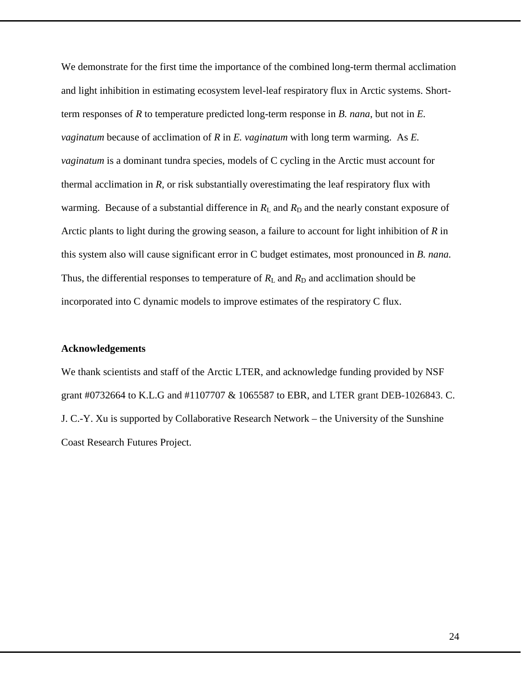We demonstrate for the first time the importance of the combined long-term thermal acclimation and light inhibition in estimating ecosystem level-leaf respiratory flux in Arctic systems. Shortterm responses of *R* to temperature predicted long-term response in *B. nana*, but not in *E. vaginatum* because of acclimation of *R* in *E. vaginatum* with long term warming. As *E. vaginatum* is a dominant tundra species, models of C cycling in the Arctic must account for thermal acclimation in *R,* or risk substantially overestimating the leaf respiratory flux with warming. Because of a substantial difference in  $R_L$  and  $R_D$  and the nearly constant exposure of Arctic plants to light during the growing season, a failure to account for light inhibition of *R* in this system also will cause significant error in C budget estimates, most pronounced in *B. nana.* Thus, the differential responses to temperature of  $R<sub>L</sub>$  and  $R<sub>D</sub>$  and acclimation should be incorporated into C dynamic models to improve estimates of the respiratory C flux.

## **Acknowledgements**

We thank scientists and staff of the Arctic LTER, and acknowledge funding provided by NSF grant #0732664 to K.L.G and #1107707 & 1065587 to EBR, and LTER grant DEB-1026843. C. J. C.-Y. Xu is supported by Collaborative Research Network – the University of the Sunshine Coast Research Futures Project.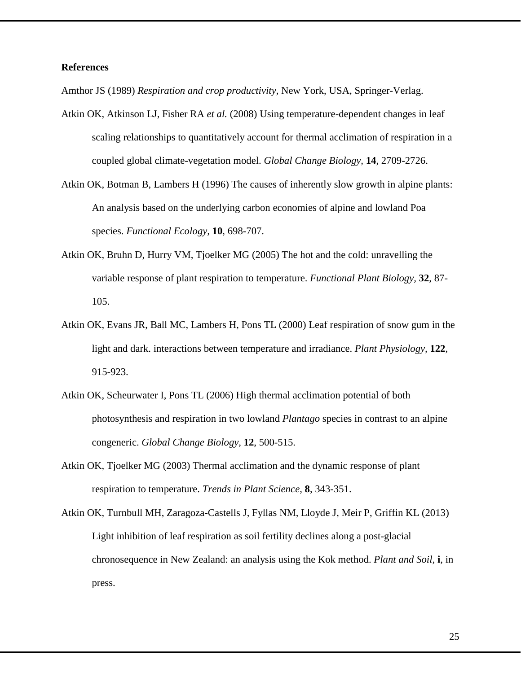## **References**

<span id="page-24-0"></span>Amthor JS (1989) *Respiration and crop productivity,* New York, USA, Springer-Verlag.

- <span id="page-24-7"></span>Atkin OK, Atkinson LJ, Fisher RA *et al.* (2008) Using temperature-dependent changes in leaf scaling relationships to quantitatively account for thermal acclimation of respiration in a coupled global climate-vegetation model. *Global Change Biology,* **14**, 2709-2726.
- <span id="page-24-4"></span>Atkin OK, Botman B, Lambers H (1996) The causes of inherently slow growth in alpine plants: An analysis based on the underlying carbon economies of alpine and lowland Poa species. *Functional Ecology,* **10**, 698-707.
- <span id="page-24-5"></span>Atkin OK, Bruhn D, Hurry VM, Tjoelker MG (2005) The hot and the cold: unravelling the variable response of plant respiration to temperature. *Functional Plant Biology,* **32**, 87- 105.
- <span id="page-24-1"></span>Atkin OK, Evans JR, Ball MC, Lambers H, Pons TL (2000) Leaf respiration of snow gum in the light and dark. interactions between temperature and irradiance. *Plant Physiology,* **122**, 915-923.
- <span id="page-24-3"></span>Atkin OK, Scheurwater I, Pons TL (2006) High thermal acclimation potential of both photosynthesis and respiration in two lowland *Plantago* species in contrast to an alpine congeneric. *Global Change Biology,* **12**, 500-515.
- <span id="page-24-2"></span>Atkin OK, Tjoelker MG (2003) Thermal acclimation and the dynamic response of plant respiration to temperature. *Trends in Plant Science,* **8**, 343-351.

<span id="page-24-6"></span>Atkin OK, Turnbull MH, Zaragoza-Castells J, Fyllas NM, Lloyde J, Meir P, Griffin KL (2013) Light inhibition of leaf respiration as soil fertility declines along a post-glacial chronosequence in New Zealand: an analysis using the Kok method. *Plant and Soil,* **i**, in press.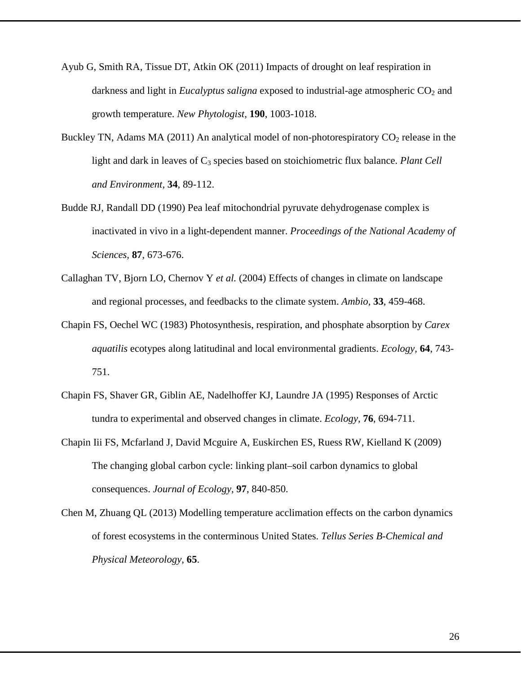- <span id="page-25-2"></span>Ayub G, Smith RA, Tissue DT, Atkin OK (2011) Impacts of drought on leaf respiration in darkness and light in *Eucalyptus saligna* exposed to industrial-age atmospheric CO<sub>2</sub> and growth temperature. *New Phytologist,* **190**, 1003-1018.
- <span id="page-25-6"></span>Buckley TN, Adams MA (2011) An analytical model of non-photorespiratory  $CO<sub>2</sub>$  release in the light and dark in leaves of C<sub>3</sub> species based on stoichiometric flux balance. *Plant Cell and Environment,* **34**, 89-112.
- <span id="page-25-5"></span>Budde RJ, Randall DD (1990) Pea leaf mitochondrial pyruvate dehydrogenase complex is inactivated in vivo in a light-dependent manner. *Proceedings of the National Academy of Sciences,* **87**, 673-676.
- <span id="page-25-0"></span>Callaghan TV, Bjorn LO, Chernov Y *et al.* (2004) Effects of changes in climate on landscape and regional processes, and feedbacks to the climate system. *Ambio,* **33**, 459-468.
- <span id="page-25-1"></span>Chapin FS, Oechel WC (1983) Photosynthesis, respiration, and phosphate absorption by *Carex aquatilis* ecotypes along latitudinal and local environmental gradients. *Ecology,* **64**, 743- 751.
- <span id="page-25-4"></span>Chapin FS, Shaver GR, Giblin AE, Nadelhoffer KJ, Laundre JA (1995) Responses of Arctic tundra to experimental and observed changes in climate. *Ecology,* **76**, 694-711.
- <span id="page-25-7"></span>Chapin Iii FS, Mcfarland J, David Mcguire A, Euskirchen ES, Ruess RW, Kielland K (2009) The changing global carbon cycle: linking plant–soil carbon dynamics to global consequences. *Journal of Ecology,* **97**, 840-850.
- <span id="page-25-3"></span>Chen M, Zhuang QL (2013) Modelling temperature acclimation effects on the carbon dynamics of forest ecosystems in the conterminous United States. *Tellus Series B-Chemical and Physical Meteorology,* **65**.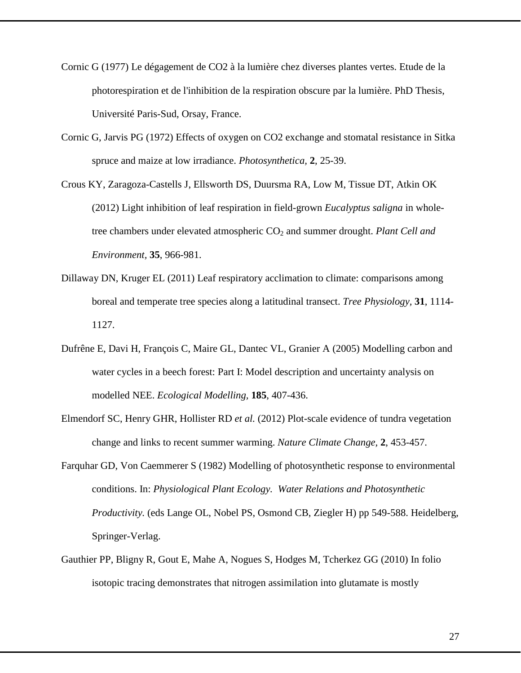- <span id="page-26-4"></span>Cornic G (1977) Le dégagement de CO2 à la lumière chez diverses plantes vertes. Etude de la photorespiration et de l'inhibition de la respiration obscure par la lumière. PhD Thesis, Université Paris-Sud, Orsay, France.
- <span id="page-26-3"></span>Cornic G, Jarvis PG (1972) Effects of oxygen on CO2 exchange and stomatal resistance in Sitka spruce and maize at low irradiance. *Photosynthetica,* **2**, 25-39.
- <span id="page-26-6"></span>Crous KY, Zaragoza-Castells J, Ellsworth DS, Duursma RA, Low M, Tissue DT, Atkin OK (2012) Light inhibition of leaf respiration in field-grown *Eucalyptus saligna* in wholetree chambers under elevated atmospheric CO<sub>2</sub> and summer drought. *Plant Cell and Environment,* **35**, 966-981.
- <span id="page-26-5"></span>Dillaway DN, Kruger EL (2011) Leaf respiratory acclimation to climate: comparisons among boreal and temperate tree species along a latitudinal transect. *Tree Physiology,* **31**, 1114- 1127.
- <span id="page-26-7"></span>Dufrêne E, Davi H, François C, Maire GL, Dantec VL, Granier A (2005) Modelling carbon and water cycles in a beech forest: Part I: Model description and uncertainty analysis on modelled NEE. *Ecological Modelling,* **185**, 407-436.
- <span id="page-26-0"></span>Elmendorf SC, Henry GHR, Hollister RD *et al.* (2012) Plot-scale evidence of tundra vegetation change and links to recent summer warming. *Nature Climate Change,* **2**, 453-457.
- <span id="page-26-1"></span>Farquhar GD, Von Caemmerer S (1982) Modelling of photosynthetic response to environmental conditions. In: *Physiological Plant Ecology. Water Relations and Photosynthetic Productivity.* (eds Lange OL, Nobel PS, Osmond CB, Ziegler H) pp 549-588. Heidelberg, Springer-Verlag.
- <span id="page-26-2"></span>Gauthier PP, Bligny R, Gout E, Mahe A, Nogues S, Hodges M, Tcherkez GG (2010) In folio isotopic tracing demonstrates that nitrogen assimilation into glutamate is mostly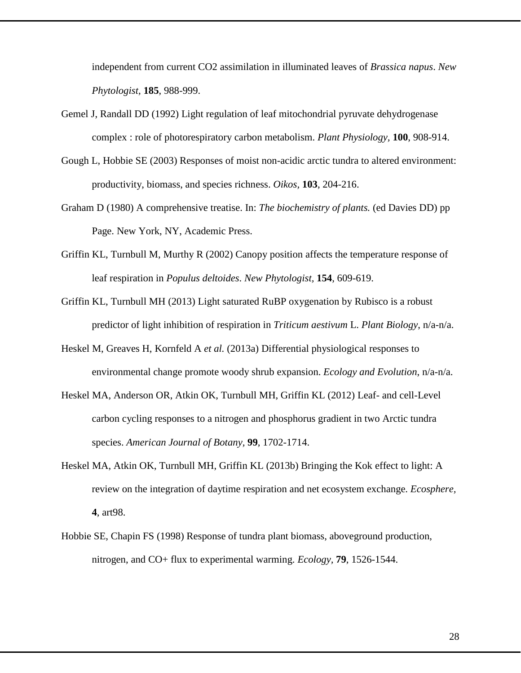independent from current CO2 assimilation in illuminated leaves of *Brassica napus*. *New Phytologist,* **185**, 988-999.

- <span id="page-27-6"></span>Gemel J, Randall DD (1992) Light regulation of leaf mitochondrial pyruvate dehydrogenase complex : role of photorespiratory carbon metabolism. *Plant Physiology,* **100**, 908-914.
- <span id="page-27-3"></span>Gough L, Hobbie SE (2003) Responses of moist non-acidic arctic tundra to altered environment: productivity, biomass, and species richness. *Oikos,* **103**, 204-216.
- <span id="page-27-0"></span>Graham D (1980) A comprehensive treatise. In: *The biochemistry of plants.* (ed Davies DD) pp Page. New York, NY, Academic Press.
- <span id="page-27-7"></span>Griffin KL, Turnbull M, Murthy R (2002) Canopy position affects the temperature response of leaf respiration in *Populus deltoides*. *New Phytologist,* **154**, 609-619.
- <span id="page-27-8"></span>Griffin KL, Turnbull MH (2013) Light saturated RuBP oxygenation by Rubisco is a robust predictor of light inhibition of respiration in *Triticum aestivum* L. *Plant Biology*, n/a-n/a.
- <span id="page-27-1"></span>Heskel M, Greaves H, Kornfeld A *et al.* (2013a) Differential physiological responses to environmental change promote woody shrub expansion. *Ecology and Evolution*, n/a-n/a.
- <span id="page-27-2"></span>Heskel MA, Anderson OR, Atkin OK, Turnbull MH, Griffin KL (2012) Leaf- and cell-Level carbon cycling responses to a nitrogen and phosphorus gradient in two Arctic tundra species. *American Journal of Botany,* **99**, 1702-1714.
- <span id="page-27-5"></span>Heskel MA, Atkin OK, Turnbull MH, Griffin KL (2013b) Bringing the Kok effect to light: A review on the integration of daytime respiration and net ecosystem exchange. *Ecosphere,* **4**, art98.
- <span id="page-27-4"></span>Hobbie SE, Chapin FS (1998) Response of tundra plant biomass, aboveground production, nitrogen, and CO+ flux to experimental warming. *Ecology,* **79**, 1526-1544.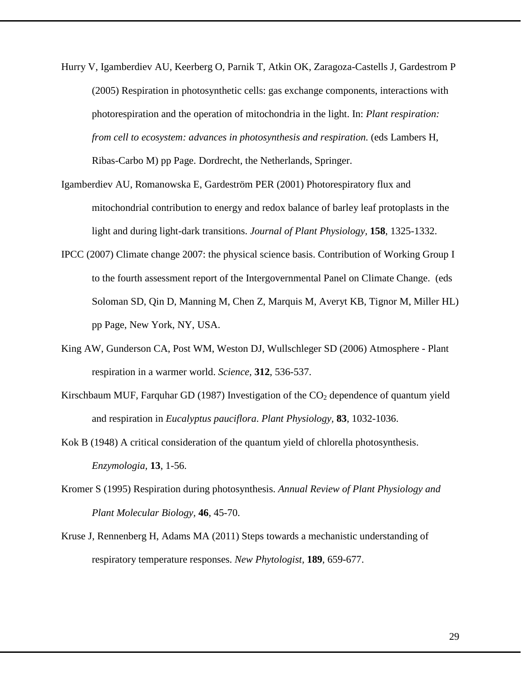- <span id="page-28-1"></span>Hurry V, Igamberdiev AU, Keerberg O, Parnik T, Atkin OK, Zaragoza-Castells J, Gardestrom P (2005) Respiration in photosynthetic cells: gas exchange components, interactions with photorespiration and the operation of mitochondria in the light. In: *Plant respiration: from cell to ecosystem: advances in photosynthesis and respiration.* (eds Lambers H, Ribas-Carbo M) pp Page. Dordrecht, the Netherlands, Springer.
- <span id="page-28-7"></span>Igamberdiev AU, Romanowska E, Gardeström PER (2001) Photorespiratory flux and mitochondrial contribution to energy and redox balance of barley leaf protoplasts in the light and during light-dark transitions. *Journal of Plant Physiology,* **158**, 1325-1332.
- <span id="page-28-0"></span>IPCC (2007) Climate change 2007: the physical science basis. Contribution of Working Group I to the fourth assessment report of the Intergovernmental Panel on Climate Change. (eds Soloman SD, Qin D, Manning M, Chen Z, Marquis M, Averyt KB, Tignor M, Miller HL) pp Page, New York, NY, USA.
- <span id="page-28-4"></span>King AW, Gunderson CA, Post WM, Weston DJ, Wullschleger SD (2006) Atmosphere - Plant respiration in a warmer world. *Science,* **312**, 536-537.
- <span id="page-28-6"></span>Kirschbaum MUF, Farquhar GD (1987) Investigation of the  $CO<sub>2</sub>$  dependence of quantum yield and respiration in *Eucalyptus pauciflora*. *Plant Physiology,* **83**, 1032-1036.
- <span id="page-28-5"></span>Kok B (1948) A critical consideration of the quantum yield of chlorella photosynthesis. *Enzymologia,* **13**, 1-56.
- <span id="page-28-2"></span>Kromer S (1995) Respiration during photosynthesis. *Annual Review of Plant Physiology and Plant Molecular Biology,* **46**, 45-70.
- <span id="page-28-3"></span>Kruse J, Rennenberg H, Adams MA (2011) Steps towards a mechanistic understanding of respiratory temperature responses. *New Phytologist,* **189**, 659-677.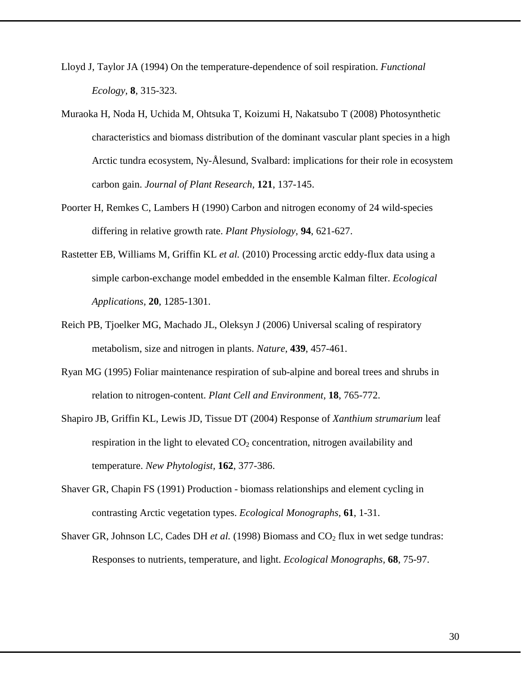- <span id="page-29-6"></span>Lloyd J, Taylor JA (1994) On the temperature-dependence of soil respiration. *Functional Ecology,* **8**, 315-323.
- <span id="page-29-1"></span>Muraoka H, Noda H, Uchida M, Ohtsuka T, Koizumi H, Nakatsubo T (2008) Photosynthetic characteristics and biomass distribution of the dominant vascular plant species in a high Arctic tundra ecosystem, Ny-Ålesund, Svalbard: implications for their role in ecosystem carbon gain. *Journal of Plant Research,* **121**, 137-145.
- <span id="page-29-4"></span>Poorter H, Remkes C, Lambers H (1990) Carbon and nitrogen economy of 24 wild-species differing in relative growth rate. *Plant Physiology,* **94**, 621-627.
- <span id="page-29-0"></span>Rastetter EB, Williams M, Griffin KL *et al.* (2010) Processing arctic eddy-flux data using a simple carbon-exchange model embedded in the ensemble Kalman filter. *Ecological Applications,* **20**, 1285-1301.
- <span id="page-29-7"></span>Reich PB, Tjoelker MG, Machado JL, Oleksyn J (2006) Universal scaling of respiratory metabolism, size and nitrogen in plants. *Nature,* **439**, 457-461.
- <span id="page-29-8"></span>Ryan MG (1995) Foliar maintenance respiration of sub-alpine and boreal trees and shrubs in relation to nitrogen-content. *Plant Cell and Environment,* **18**, 765-772.
- <span id="page-29-3"></span>Shapiro JB, Griffin KL, Lewis JD, Tissue DT (2004) Response of *Xanthium strumarium* leaf respiration in the light to elevated  $CO<sub>2</sub>$  concentration, nitrogen availability and temperature. *New Phytologist,* **162**, 377-386.
- <span id="page-29-5"></span>Shaver GR, Chapin FS (1991) Production - biomass relationships and element cycling in contrasting Arctic vegetation types. *Ecological Monographs,* **61**, 1-31.
- <span id="page-29-2"></span>Shaver GR, Johnson LC, Cades DH *et al.* (1998) Biomass and CO<sub>2</sub> flux in wet sedge tundras: Responses to nutrients, temperature, and light. *Ecological Monographs,* **68**, 75-97.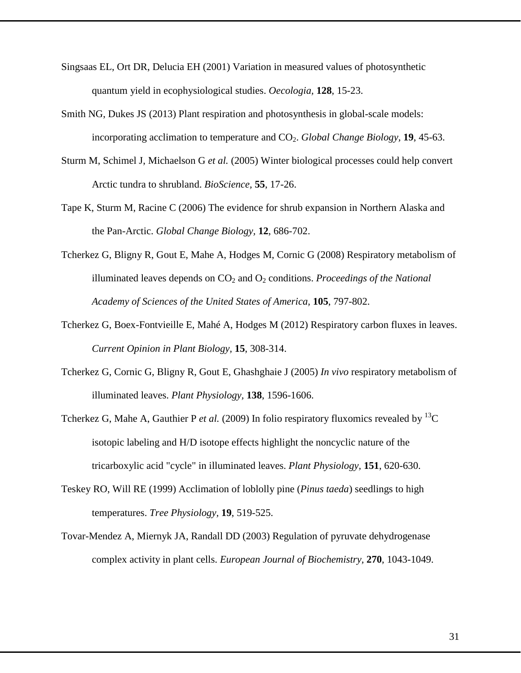- <span id="page-30-3"></span>Singsaas EL, Ort DR, Delucia EH (2001) Variation in measured values of photosynthetic quantum yield in ecophysiological studies. *Oecologia,* **128**, 15-23.
- <span id="page-30-9"></span>Smith NG, Dukes JS (2013) Plant respiration and photosynthesis in global-scale models: incorporating acclimation to temperature and CO2. *Global Change Biology,* **19**, 45-63.
- <span id="page-30-1"></span>Sturm M, Schimel J, Michaelson G *et al.* (2005) Winter biological processes could help convert Arctic tundra to shrubland. *BioScience,* **55**, 17-26.
- <span id="page-30-8"></span>Tape K, Sturm M, Racine C (2006) The evidence for shrub expansion in Northern Alaska and the Pan-Arctic. *Global Change Biology,* **12**, 686-702.
- <span id="page-30-4"></span>Tcherkez G, Bligny R, Gout E, Mahe A, Hodges M, Cornic G (2008) Respiratory metabolism of illuminated leaves depends on CO<sub>2</sub> and O<sub>2</sub> conditions. *Proceedings of the National Academy of Sciences of the United States of America,* **105**, 797-802.
- <span id="page-30-2"></span>Tcherkez G, Boex-Fontvieille E, Mahé A, Hodges M (2012) Respiratory carbon fluxes in leaves. *Current Opinion in Plant Biology,* **15**, 308-314.
- <span id="page-30-5"></span>Tcherkez G, Cornic G, Bligny R, Gout E, Ghashghaie J (2005) *In vivo* respiratory metabolism of illuminated leaves. *Plant Physiology,* **138**, 1596-1606.
- <span id="page-30-6"></span>Tcherkez G, Mahe A, Gauthier P *et al.* (2009) In folio respiratory fluxomics revealed by <sup>13</sup>C isotopic labeling and H/D isotope effects highlight the noncyclic nature of the tricarboxylic acid "cycle" in illuminated leaves. *Plant Physiology,* **151**, 620-630.
- <span id="page-30-7"></span>Teskey RO, Will RE (1999) Acclimation of loblolly pine (*Pinus taeda*) seedlings to high temperatures. *Tree Physiology,* **19**, 519-525.
- <span id="page-30-0"></span>Tovar-Mendez A, Miernyk JA, Randall DD (2003) Regulation of pyruvate dehydrogenase complex activity in plant cells. *European Journal of Biochemistry,* **270**, 1043-1049.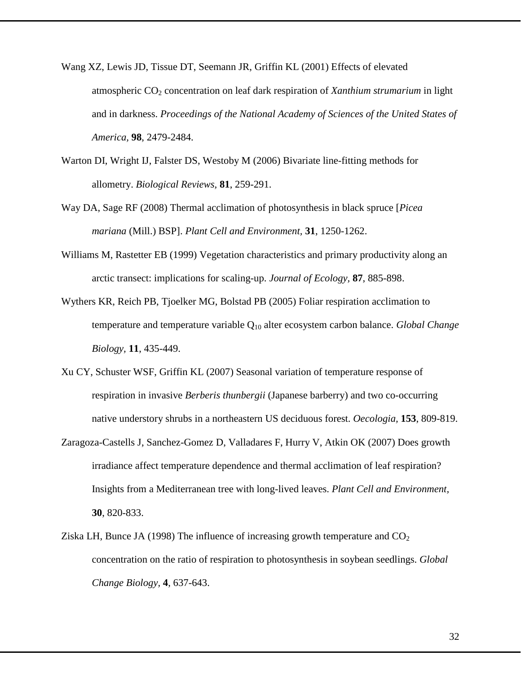- <span id="page-31-8"></span><span id="page-31-1"></span>Wang XZ, Lewis JD, Tissue DT, Seemann JR, Griffin KL (2001) Effects of elevated atmospheric CO<sub>2</sub> concentration on leaf dark respiration of *Xanthium strumarium* in light and in darkness. *Proceedings of the National Academy of Sciences of the United States of America,* **98**, 2479-2484.
- <span id="page-31-3"></span>Warton DI, Wright IJ, Falster DS, Westoby M (2006) Bivariate line-fitting methods for allometry. *Biological Reviews,* **81**, 259-291.
- <span id="page-31-4"></span>Way DA, Sage RF (2008) Thermal acclimation of photosynthesis in black spruce [*Picea mariana* (Mill.) BSP]. *Plant Cell and Environment,* **31**, 1250-1262.
- <span id="page-31-0"></span>Williams M, Rastetter EB (1999) Vegetation characteristics and primary productivity along an arctic transect: implications for scaling-up. *Journal of Ecology,* **87**, 885-898.
- <span id="page-31-2"></span>Wythers KR, Reich PB, Tjoelker MG, Bolstad PB (2005) Foliar respiration acclimation to temperature and temperature variable Q10 alter ecosystem carbon balance. *Global Change Biology,* **11**, 435-449.
- <span id="page-31-6"></span>Xu CY, Schuster WSF, Griffin KL (2007) Seasonal variation of temperature response of respiration in invasive *Berberis thunbergii* (Japanese barberry) and two co-occurring native understory shrubs in a northeastern US deciduous forest. *Oecologia,* **153**, 809-819.
- <span id="page-31-5"></span>Zaragoza-Castells J, Sanchez-Gomez D, Valladares F, Hurry V, Atkin OK (2007) Does growth irradiance affect temperature dependence and thermal acclimation of leaf respiration? Insights from a Mediterranean tree with long-lived leaves. *Plant Cell and Environment,* **30**, 820-833.
- <span id="page-31-7"></span>Ziska LH, Bunce JA (1998) The influence of increasing growth temperature and  $CO<sub>2</sub>$ concentration on the ratio of respiration to photosynthesis in soybean seedlings. *Global Change Biology,* **4**, 637-643.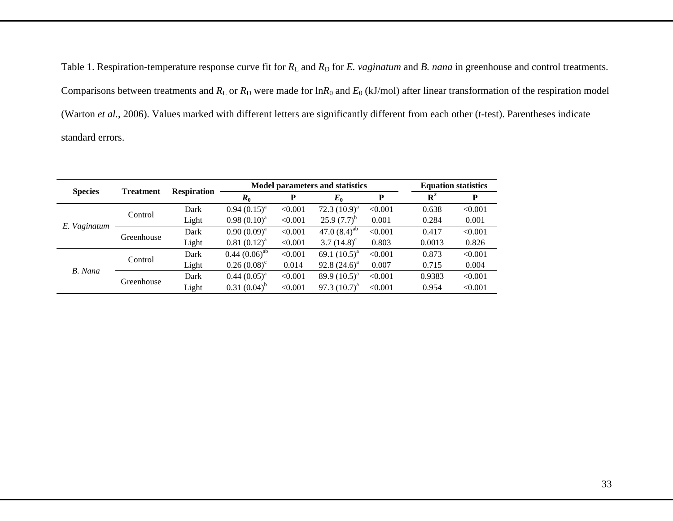Table 1. Respiration-temperature response curve fit for  $R_L$  and  $R_D$  for *E. vaginatum* and *B. nana* in greenhouse and control treatments. Comparisons between treatments and  $R_L$  or  $R_D$  were made for  $\ln R_0$  and  $E_0$  (kJ/mol) after linear transformation of the respiration model [\(Warton](#page-31-8) *et al.*, 2006). Values marked with different letters are significantly different from each other (t-test). Parentheses indicate standard errors.

| <b>Species</b> | <b>Treatment</b> | <b>Respiration</b> |                    | <b>Model parameters and statistics</b> |                      | <b>Equation statistics</b> |             |         |
|----------------|------------------|--------------------|--------------------|----------------------------------------|----------------------|----------------------------|-------------|---------|
|                |                  |                    | $R_0$              | P                                      | $E_0$                | P                          | ${\bf R}^2$ | P       |
| E. Vaginatum   | Control          | Dark               | $0.94(0.15)^{a}$   | < 0.001                                | 72.3 $(10.9)^a$      | < 0.001                    | 0.638       | < 0.001 |
|                |                  | Light              | $0.98(0.10)^{a}$   | < 0.001                                | $25.9(7.7)^{b}$      | 0.001                      | 0.284       | 0.001   |
|                | Greenhouse       | Dark               | $0.90(0.09)^{a}$   | < 0.001                                | 47.0 $(8.4)^{ab}$    | < 0.001                    | 0.417       | < 0.001 |
|                |                  | Light              | $0.81 (0.12)^a$    | < 0.001                                | 3.7 $(14.8)^{\circ}$ | 0.803                      | 0.0013      | 0.826   |
| B. Nana        | Control          | Dark               | $0.44 (0.06)^{ab}$ | < 0.001                                | 69.1 $(10.5)^a$      | < 0.001                    | 0.873       | < 0.001 |
|                |                  | Light              | $0.26(0.08)^c$     | 0.014                                  | $92.8(24.6)^{a}$     | 0.007                      | 0.715       | 0.004   |
|                | Greenhouse       | Dark               | $0.44 (0.05)^{a}$  | < 0.001                                | 89.9 $(10.5)^a$      | < 0.001                    | 0.9383      | < 0.001 |
|                |                  | Light              | $0.31(0.04)^{b}$   | < 0.001                                | 97.3 $(10.7)^a$      | < 0.001                    | 0.954       | < 0.001 |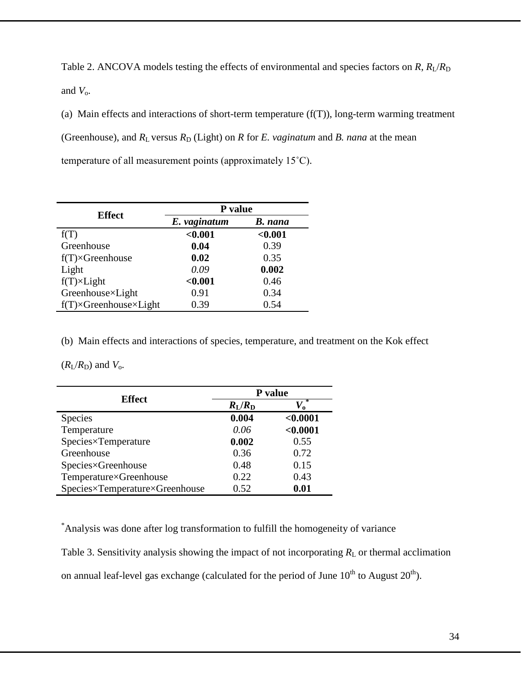Table 2. ANCOVA models testing the effects of environmental and species factors on  $R$ ,  $R_1/R$ and  $V_0$ .

(a) Main effects and interactions of short-term temperature  $(f(T))$ , long-term warming treatment (Greenhouse), and  $R_L$  versus  $R_D$  (Light) on  $R$  for  $E$ . *vaginatum* and  $B$ . *nana* at the mean temperature of all measurement points (approximately 15˚C).

| <b>Effect</b>                           | P value      |                |  |  |  |  |
|-----------------------------------------|--------------|----------------|--|--|--|--|
|                                         | E. vaginatum | <b>B.</b> nana |  |  |  |  |
| f(T)                                    | < 0.001      | < 0.001        |  |  |  |  |
| Greenhouse                              | 0.04         | 0.39           |  |  |  |  |
| $f(T) \times$ Greenhouse                | 0.02         | 0.35           |  |  |  |  |
| Light                                   | 0.09         | 0.002          |  |  |  |  |
| $f(T) \times Light$                     | < 0.001      | 0.46           |  |  |  |  |
| Greenhouse×Light                        | 0.91         | 0.34           |  |  |  |  |
| $f(T) \times$ Greenhouse $\times$ Light | 0.39         | 0.54           |  |  |  |  |

(b) Main effects and interactions of species, temperature, and treatment on the Kok effect

 $(R_{\rm I}/R_{\rm D})$  and  $V_{\rm o}$ .

| <b>Effect</b>                  | P value               |          |  |  |  |
|--------------------------------|-----------------------|----------|--|--|--|
|                                | $R_{\rm L}/R_{\rm D}$ |          |  |  |  |
| <b>Species</b>                 | 0.004                 | < 0.0001 |  |  |  |
| Temperature                    | 0.06                  | < 0.0001 |  |  |  |
| Species×Temperature            | 0.002                 | 0.55     |  |  |  |
| Greenhouse                     | 0.36                  | 0.72     |  |  |  |
| Species×Greenhouse             | 0.48                  | 0.15     |  |  |  |
| Temperature×Greenhouse         | 0.22                  | 0.43     |  |  |  |
| Species×Temperature×Greenhouse | 0.52                  | 0.01     |  |  |  |

\* Analysis was done after log transformation to fulfill the homogeneity of variance

Table 3. Sensitivity analysis showing the impact of not incorporating  $R<sub>L</sub>$  or thermal acclimation on annual leaf-level gas exchange (calculated for the period of June  $10^{th}$  to August  $20^{th}$ ).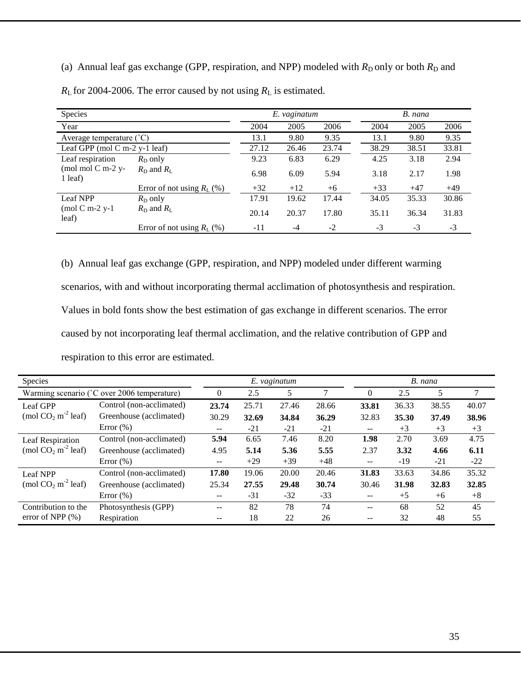(a) Annual leaf gas exchange (GPP, respiration, and NPP) modeled with  $R_D$  only or both  $R_D$  and  $R_{\rm L}$  for 2004-2006. The error caused by not using  $R_{\rm L}$  is estimated.

| <b>Species</b>                                     |                              |       | E. vaginatum |       | B. nana |       |       |  |
|----------------------------------------------------|------------------------------|-------|--------------|-------|---------|-------|-------|--|
| Year                                               |                              | 2004  | 2005         | 2006  | 2004    | 2005  | 2006  |  |
| Average temperature $({}^{\circ}C)$                |                              | 13.1  | 9.80         | 9.35  | 13.1    | 9.80  | 9.35  |  |
| Leaf GPP (mol $C$ m-2 y-1 leaf)                    |                              | 27.12 | 26.46        | 23.74 | 38.29   | 38.51 | 33.81 |  |
| Leaf respiration<br>(mol mol $C$ m-2 y-<br>1 leaf) | $R_{\rm D}$ only             | 9.23  | 6.83         | 6.29  | 4.25    | 3.18  | 2.94  |  |
|                                                    | $R_{\rm D}$ and $R_{\rm I}$  | 6.98  | 6.09         | 5.94  | 3.18    | 2.17  | 1.98  |  |
|                                                    | Error of not using $R_L$ (%) | $+32$ | $+12$        | $+6$  | $+33$   | $+47$ | $+49$ |  |
| Leaf NPP<br>$\pmod{C}$ m-2 y-1<br>leaf)            | $R_{\rm D}$ only             | 17.91 | 19.62        | 17.44 | 34.05   | 35.33 | 30.86 |  |
|                                                    | $R_{\rm D}$ and $R_{\rm L}$  | 20.14 | 20.37        | 17.80 | 35.11   | 36.34 | 31.83 |  |
|                                                    | Error of not using $R_L$ (%) | $-11$ | $-4$         | $-2$  | $-3$    | $-3$  | $-3$  |  |

(b) Annual leaf gas exchange (GPP, respiration, and NPP) modeled under different warming scenarios, with and without incorporating thermal acclimation of photosynthesis and respiration. Values in bold fonts show the best estimation of gas exchange in different scenarios. The error caused by not incorporating leaf thermal acclimation, and the relative contribution of GPP and respiration to this error are estimated.

| Species                                      |                          | E. vaginatum |       |       |       |                   | B. nana |       |               |  |
|----------------------------------------------|--------------------------|--------------|-------|-------|-------|-------------------|---------|-------|---------------|--|
| Warming scenario (°C over 2006 temperature)  |                          | $\Omega$     | 2.5   | 5     | 7     | $\theta$          | 2.5     | 5     | $\mathcal{I}$ |  |
| Leaf GPP<br>(mol $CO2$ m <sup>-2</sup> leaf) | Control (non-acclimated) | 23.74        | 25.71 | 27.46 | 28.66 | 33.81             | 36.33   | 38.55 | 40.07         |  |
|                                              | Greenhouse (acclimated)  | 30.29        | 32.69 | 34.84 | 36.29 | 32.83             | 35.30   | 37.49 | 38.96         |  |
|                                              | Error $(\%)$             | $- -$        | $-21$ | $-21$ | $-21$ | $- -$             | $+3$    | $+3$  | $+3$          |  |
| Leaf Respiration<br>(mol $CO2 m-2$ leaf)     | Control (non-acclimated) | 5.94         | 6.65  | 7.46  | 8.20  | 1.98              | 2.70    | 3.69  | 4.75          |  |
|                                              | Greenhouse (acclimated)  | 4.95         | 5.14  | 5.36  | 5.55  | 2.37              | 3.32    | 4.66  | 6.11          |  |
|                                              | Error $(\%)$             | $- -$        | $+29$ | $+39$ | $+48$ | $- -$             | $-19$   | $-21$ | $-22$         |  |
| Leaf NPP<br>(mol $CO2 m-2$ leaf)             | Control (non-acclimated) | 17.80        | 19.06 | 20.00 | 20.46 | 31.83             | 33.63   | 34.86 | 35.32         |  |
|                                              | Greenhouse (acclimated)  | 25.34        | 27.55 | 29.48 | 30.74 | 30.46             | 31.98   | 32.83 | 32.85         |  |
|                                              | Error $(\% )$            | $- -$        | $-31$ | $-32$ | $-33$ | $- -$             | $+5$    | $+6$  | $+8$          |  |
| Contribution to the<br>error of NPP $(\% )$  | Photosynthesis (GPP)     | $- -$        | 82    | 78    | 74    | $-$               | 68      | 52    | 45            |  |
|                                              | Respiration              | $- -$        | 18    | 22    | 26    | $\qquad \qquad -$ | 32      | 48    | 55            |  |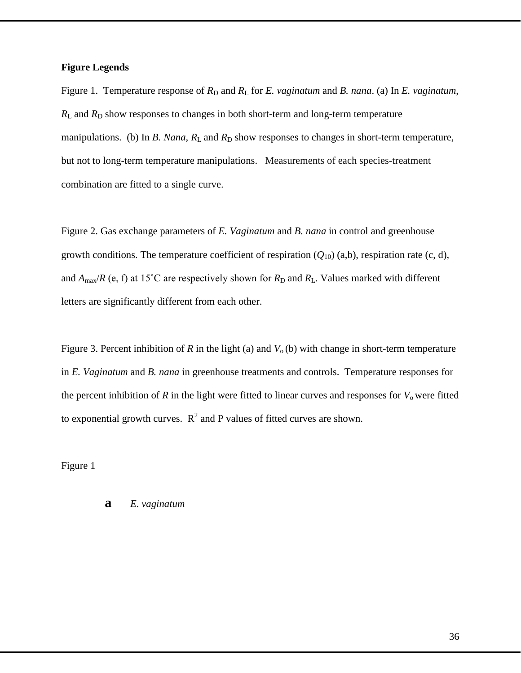### **Figure Legends**

Figure 1. Temperature response of  $R_D$  and  $R_L$  for *E. vaginatum* and *B. nana.* (a) In *E. vaginatum*,  $R_L$  and  $R_D$  show responses to changes in both short-term and long-term temperature manipulations. (b) In *B. Nana*,  $R_L$  and  $R_D$  show responses to changes in short-term temperature, but not to long-term temperature manipulations. Measurements of each species-treatment combination are fitted to a single curve.

Figure 2. Gas exchange parameters of *E. Vaginatum* and *B. nana* in control and greenhouse growth conditions. The temperature coefficient of respiration  $(Q_{10})$  (a,b), respiration rate (c, d), and  $A_{\text{max}}/R$  (e, f) at 15<sup>°</sup>C are respectively shown for  $R_D$  and  $R_L$ . Values marked with different letters are significantly different from each other.

Figure 3. Percent inhibition of *R* in the light (a) and  $V_0$  (b) with change in short-term temperature in *E. Vaginatum* and *B. nana* in greenhouse treatments and controls. Temperature responses for the percent inhibition of  $R$  in the light were fitted to linear curves and responses for  $V_0$  were fitted to exponential growth curves.  $R^2$  and P values of fitted curves are shown.

Figure 1

**a** *E. vaginatum*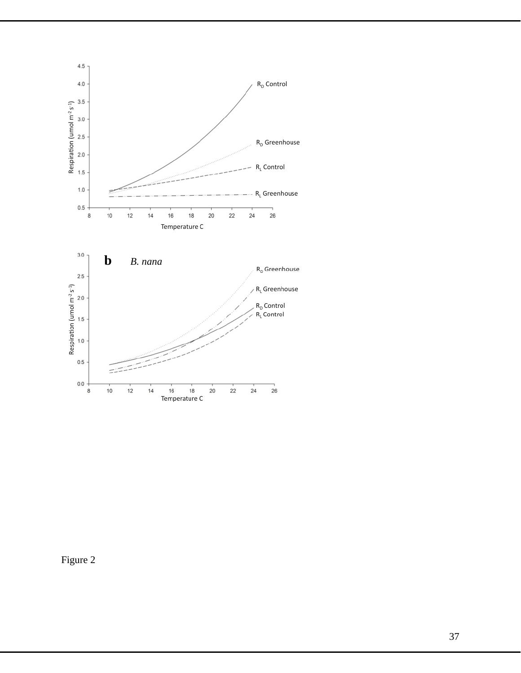

Figure 2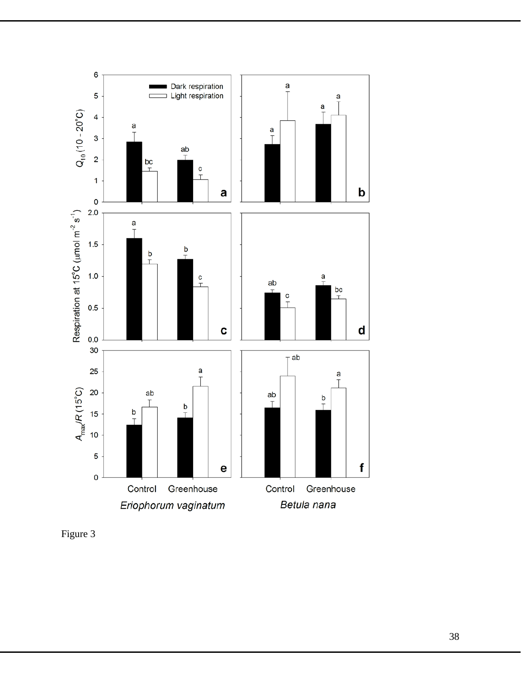

Figure 3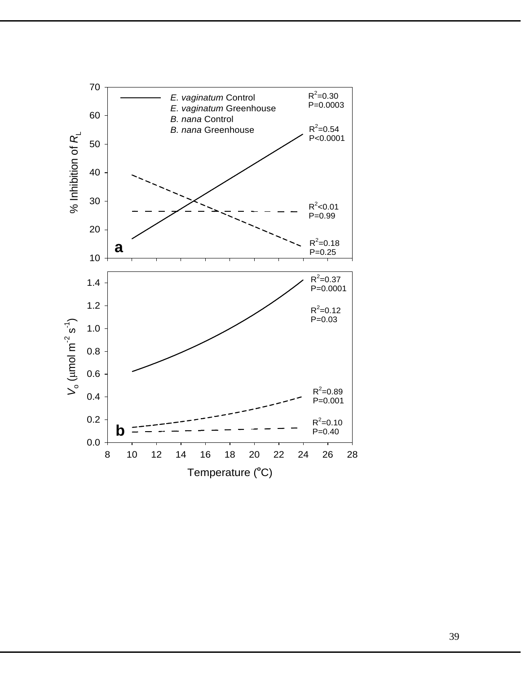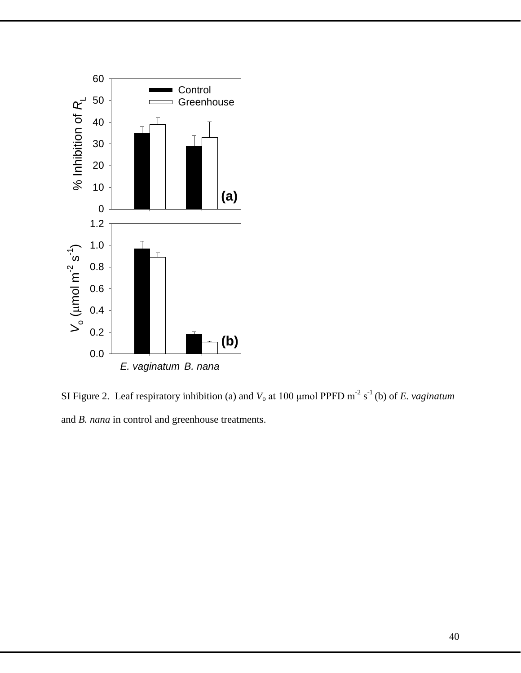

SI Figure 2. Leaf respiratory inhibition (a) and  $V_0$  at 100  $\mu$ mol PPFD m<sup>-2</sup> s<sup>-1</sup> (b) of *E. vaginatum* and *B. nana* in control and greenhouse treatments.